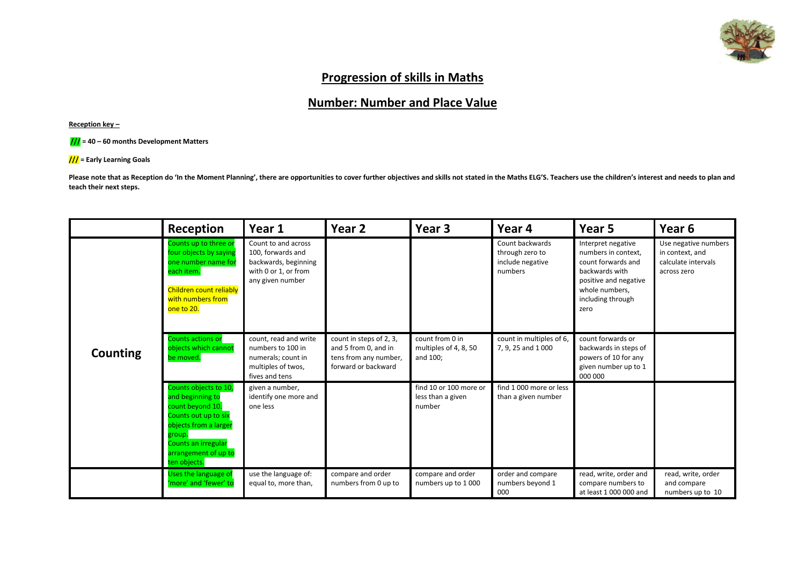

### **Progression of skills in Maths**

# **Number: Number and Place Value**

**Reception key –**



**/// = Early Learning Goals**

Please note that as Reception do 'In the Moment Planning', there are opportunities to cover further objectives and skills not stated in the Maths ELG'S. Teachers use the children's interest and needs to plan and **teach their next steps.** 

|                 | Reception                                                                                                                                                                               | Year 1                                                                                                       | Year <sub>2</sub>                                                                               | Year 3                                                | Year 4                                                            | Year 5                                                                                                                                                    | Year <sub>6</sub>                                                             |
|-----------------|-----------------------------------------------------------------------------------------------------------------------------------------------------------------------------------------|--------------------------------------------------------------------------------------------------------------|-------------------------------------------------------------------------------------------------|-------------------------------------------------------|-------------------------------------------------------------------|-----------------------------------------------------------------------------------------------------------------------------------------------------------|-------------------------------------------------------------------------------|
|                 | Counts up to three or<br>four objects by saying<br>one number name for<br>each item.<br>Children count reliably<br>with numbers from<br>one to 20.                                      | Count to and across<br>100, forwards and<br>backwards, beginning<br>with 0 or 1, or from<br>any given number |                                                                                                 |                                                       | Count backwards<br>through zero to<br>include negative<br>numbers | Interpret negative<br>numbers in context,<br>count forwards and<br>backwards with<br>positive and negative<br>whole numbers,<br>including through<br>zero | Use negative numbers<br>in context, and<br>calculate intervals<br>across zero |
| <b>Counting</b> | <b>Counts actions or</b><br>objects which cannot<br>be moved.                                                                                                                           | count, read and write<br>numbers to 100 in<br>numerals; count in<br>multiples of twos,<br>fives and tens     | count in steps of 2, 3,<br>and 5 from 0, and in<br>tens from any number,<br>forward or backward | count from 0 in<br>multiples of 4, 8, 50<br>and 100;  | count in multiples of 6,<br>7, 9, 25 and 1000                     | count forwards or<br>backwards in steps of<br>powers of 10 for any<br>given number up to 1<br>000 000                                                     |                                                                               |
|                 | Counts objects to 10,<br>and beginning to<br>count beyond 10.<br>Counts out up to six<br>objects from a larger<br>group.<br>Counts an irregular<br>arrangement of up to<br>ten objects. | given a number,<br>identify one more and<br>one less                                                         |                                                                                                 | find 10 or 100 more or<br>less than a given<br>number | find 1 000 more or less<br>than a given number                    |                                                                                                                                                           |                                                                               |
|                 | Uses the language of<br>'more' and 'fewer' to                                                                                                                                           | use the language of:<br>equal to, more than,                                                                 | compare and order<br>numbers from 0 up to                                                       | compare and order<br>numbers up to 1000               | order and compare<br>numbers beyond 1<br>000                      | read, write, order and<br>compare numbers to<br>at least 1 000 000 and                                                                                    | read, write, order<br>and compare<br>numbers up to 10                         |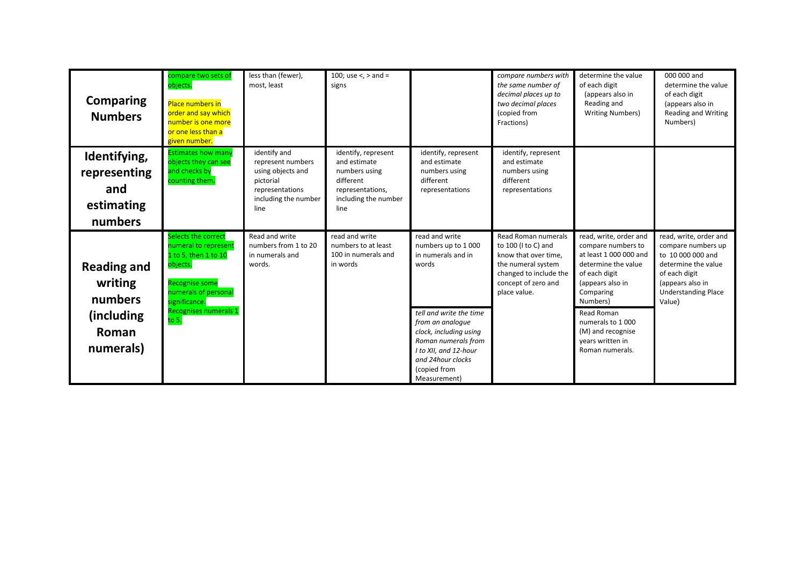| <b>Comparing</b><br><b>Numbers</b>                                            | compare two sets of<br>objects.<br><b>Place numbers in</b><br>order and say which<br>number is one more<br>or one less than a<br>given number.                                        | less than (fewer),<br>most, least                                                                                      | 100; use $\lt$ , $>$ and $=$<br>signs                                                                                 |                                                                                                                                                                                                                                                   | compare numbers with<br>the same number of<br>decimal places up to<br>two decimal places<br>(copied from<br>Fractions)                                    | determine the value<br>of each digit<br>(appears also in<br>Reading and<br><b>Writing Numbers)</b>                                                                                                                                                        | 000 000 and<br>determine the value<br>of each digit<br>(appears also in<br><b>Reading and Writing</b><br>Numbers)                                                     |
|-------------------------------------------------------------------------------|---------------------------------------------------------------------------------------------------------------------------------------------------------------------------------------|------------------------------------------------------------------------------------------------------------------------|-----------------------------------------------------------------------------------------------------------------------|---------------------------------------------------------------------------------------------------------------------------------------------------------------------------------------------------------------------------------------------------|-----------------------------------------------------------------------------------------------------------------------------------------------------------|-----------------------------------------------------------------------------------------------------------------------------------------------------------------------------------------------------------------------------------------------------------|-----------------------------------------------------------------------------------------------------------------------------------------------------------------------|
| Identifying,<br>representing<br>and<br>estimating<br>numbers                  | <b>Estimates how many</b><br>objects they can see<br>and checks by<br>counting them.                                                                                                  | identify and<br>represent numbers<br>using objects and<br>pictorial<br>representations<br>including the number<br>line | identify, represent<br>and estimate<br>numbers using<br>different<br>representations,<br>including the number<br>line | identify, represent<br>and estimate<br>numbers using<br>different<br>representations                                                                                                                                                              | identify, represent<br>and estimate<br>numbers using<br>different<br>representations                                                                      |                                                                                                                                                                                                                                                           |                                                                                                                                                                       |
| <b>Reading and</b><br>writing<br>numbers<br>(including)<br>Roman<br>numerals) | Selects the correct<br>numeral to represent<br>1 to 5, then 1 to 10<br>objects.<br><b>Recognise some</b><br>numerals of personal<br>significance.<br>Recognises numerals 1<br>to $5.$ | Read and write<br>numbers from 1 to 20<br>in numerals and<br>words.                                                    | read and write<br>numbers to at least<br>100 in numerals and<br>in words                                              | read and write<br>numbers up to 1000<br>in numerals and in<br>words<br>tell and write the time<br>from an analoque<br>clock, including using<br>Roman numerals from<br>I to XII, and 12-hour<br>and 24hour clocks<br>(copied from<br>Measurement) | Read Roman numerals<br>to 100 (I to C) and<br>know that over time,<br>the numeral system<br>changed to include the<br>concept of zero and<br>place value. | read, write, order and<br>compare numbers to<br>at least 1 000 000 and<br>determine the value<br>of each digit<br>(appears also in<br>Comparing<br>Numbers)<br>Read Roman<br>numerals to 1000<br>(M) and recognise<br>years written in<br>Roman numerals. | read, write, order and<br>compare numbers up<br>to 10 000 000 and<br>determine the value<br>of each digit<br>(appears also in<br><b>Understanding Place</b><br>Value) |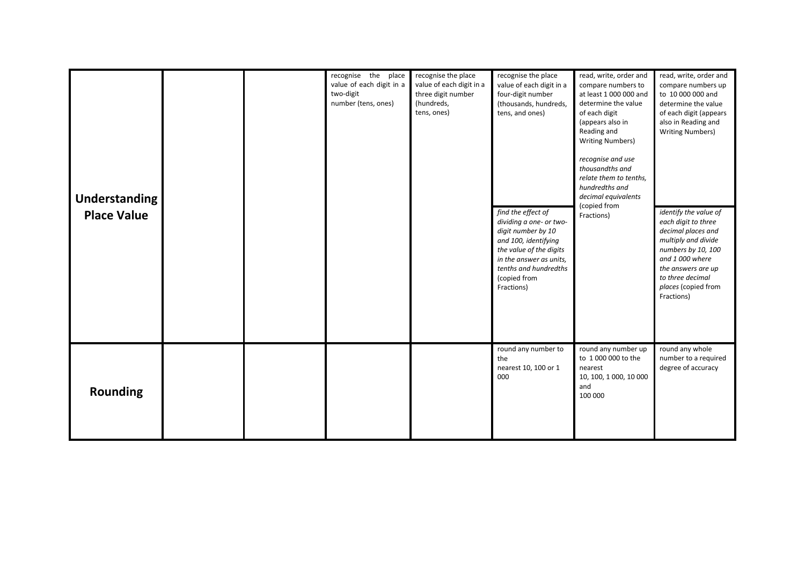| <b>Understanding</b><br><b>Place Value</b> |  | recognise the place<br>value of each digit in a<br>two-digit<br>number (tens, ones) | recognise the place<br>value of each digit in a<br>three digit number<br>(hundreds,<br>tens, ones) | recognise the place<br>value of each digit in a<br>four-digit number<br>(thousands, hundreds,<br>tens, and ones)                                                                                         | read, write, order and<br>compare numbers to<br>at least 1 000 000 and<br>determine the value<br>of each digit<br>(appears also in<br>Reading and<br><b>Writing Numbers)</b><br>recognise and use<br>thousandths and<br>relate them to tenths,<br>hundredths and<br>decimal equivalents<br>(copied from | read, write, order and<br>compare numbers up<br>to 10 000 000 and<br>determine the value<br>of each digit (appears<br>also in Reading and<br><b>Writing Numbers)</b>                                              |
|--------------------------------------------|--|-------------------------------------------------------------------------------------|----------------------------------------------------------------------------------------------------|----------------------------------------------------------------------------------------------------------------------------------------------------------------------------------------------------------|---------------------------------------------------------------------------------------------------------------------------------------------------------------------------------------------------------------------------------------------------------------------------------------------------------|-------------------------------------------------------------------------------------------------------------------------------------------------------------------------------------------------------------------|
|                                            |  |                                                                                     |                                                                                                    | find the effect of<br>dividing a one- or two-<br>digit number by 10<br>and 100, identifying<br>the value of the digits<br>in the answer as units,<br>tenths and hundredths<br>(copied from<br>Fractions) | Fractions)                                                                                                                                                                                                                                                                                              | identify the value of<br>each digit to three<br>decimal places and<br>multiply and divide<br>numbers by 10, 100<br>and 1 000 where<br>the answers are up<br>to three decimal<br>places (copied from<br>Fractions) |
| <b>Rounding</b>                            |  |                                                                                     |                                                                                                    | round any number to<br>the<br>nearest 10, 100 or 1<br>000                                                                                                                                                | round any number up<br>to 1 000 000 to the<br>nearest<br>10, 100, 1000, 10 000<br>and<br>100 000                                                                                                                                                                                                        | round any whole<br>number to a required<br>degree of accuracy                                                                                                                                                     |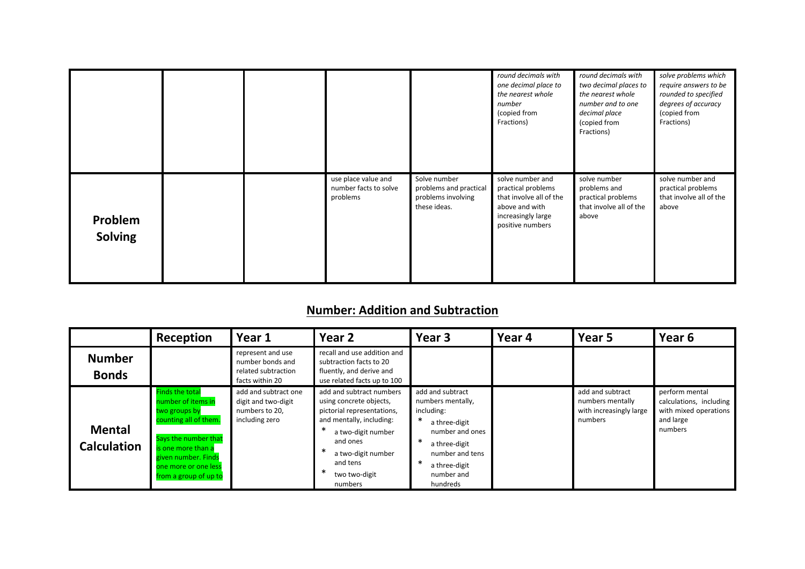|                           |  |                                                          |                                                                              | round decimals with<br>one decimal place to<br>the nearest whole<br>number<br>(copied from<br>Fractions)                      | round decimals with<br>two decimal places to<br>the nearest whole<br>number and to one<br>decimal place<br>(copied from<br>Fractions) | solve problems which<br>require answers to be<br>rounded to specified<br>degrees of accuracy<br>(copied from<br>Fractions) |
|---------------------------|--|----------------------------------------------------------|------------------------------------------------------------------------------|-------------------------------------------------------------------------------------------------------------------------------|---------------------------------------------------------------------------------------------------------------------------------------|----------------------------------------------------------------------------------------------------------------------------|
| Problem<br><b>Solving</b> |  | use place value and<br>number facts to solve<br>problems | Solve number<br>problems and practical<br>problems involving<br>these ideas. | solve number and<br>practical problems<br>that involve all of the<br>above and with<br>increasingly large<br>positive numbers | solve number<br>problems and<br>practical problems<br>that involve all of the<br>above                                                | solve number and<br>practical problems<br>that involve all of the<br>above                                                 |

## **Number: Addition and Subtraction**

|                                     | Reception                                                                                                                                                                                                    | Year 1                                                                          | Year 2                                                                                                                                                                                                        | Year 3                                                                                                                                                                                     | Year 4 | Year 5                                                                     | Year <sub>6</sub>                                                                          |
|-------------------------------------|--------------------------------------------------------------------------------------------------------------------------------------------------------------------------------------------------------------|---------------------------------------------------------------------------------|---------------------------------------------------------------------------------------------------------------------------------------------------------------------------------------------------------------|--------------------------------------------------------------------------------------------------------------------------------------------------------------------------------------------|--------|----------------------------------------------------------------------------|--------------------------------------------------------------------------------------------|
| <b>Number</b><br><b>Bonds</b>       |                                                                                                                                                                                                              | represent and use<br>number bonds and<br>related subtraction<br>facts within 20 | recall and use addition and<br>subtraction facts to 20<br>fluently, and derive and<br>use related facts up to 100                                                                                             |                                                                                                                                                                                            |        |                                                                            |                                                                                            |
| <b>Mental</b><br><b>Calculation</b> | <b>Finds the total</b><br>number of items in<br>two groups by<br>counting all of them.<br>Says the number that<br>is one more than a<br>given number. Finds<br>one more or one less<br>from a group of up to | add and subtract one<br>digit and two-digit<br>numbers to 20,<br>including zero | add and subtract numbers<br>using concrete objects,<br>pictorial representations,<br>and mentally, including:<br>a two-digit number<br>and ones<br>a two-digit number<br>and tens<br>two two-digit<br>numbers | add and subtract<br>numbers mentally,<br>including:<br>$\ast$<br>a three-digit<br>number and ones<br>∗<br>a three-digit<br>number and tens<br>∗<br>a three-digit<br>number and<br>hundreds |        | add and subtract<br>numbers mentally<br>with increasingly large<br>numbers | perform mental<br>calculations, including<br>with mixed operations<br>and large<br>numbers |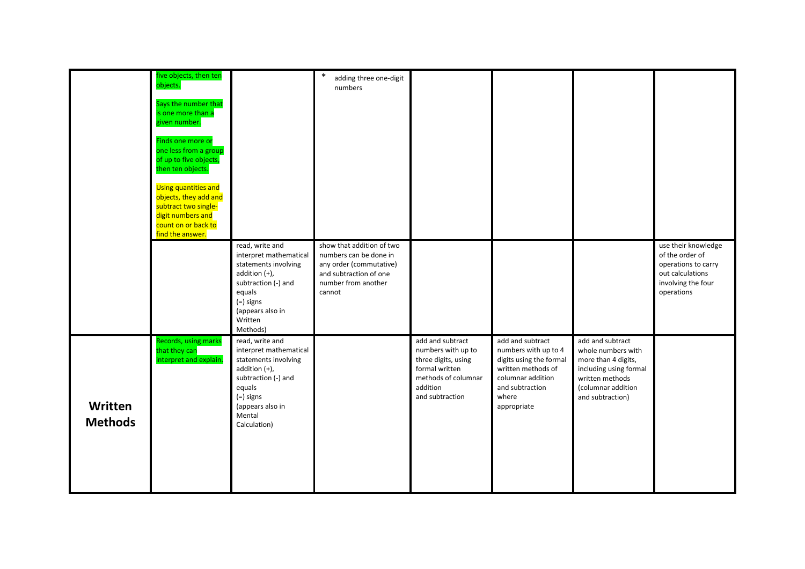|                           | five objects, then ten<br>objects.<br>Says the number that<br>is one more than a<br>given number.<br>Finds one more or<br>one less from a group<br>of up to five objects,<br>then ten objects.<br>Using quantities and<br>objects, they add and<br>subtract two single-<br>digit numbers and<br>count on or back to<br>find the answer. |                                                                                                                                                                                  | $\ast$<br>adding three one-digit<br>numbers                                                                                               |                                                                                                                                       |                                                                                                                                                           |                                                                                                                                                      |                                                                                                                       |
|---------------------------|-----------------------------------------------------------------------------------------------------------------------------------------------------------------------------------------------------------------------------------------------------------------------------------------------------------------------------------------|----------------------------------------------------------------------------------------------------------------------------------------------------------------------------------|-------------------------------------------------------------------------------------------------------------------------------------------|---------------------------------------------------------------------------------------------------------------------------------------|-----------------------------------------------------------------------------------------------------------------------------------------------------------|------------------------------------------------------------------------------------------------------------------------------------------------------|-----------------------------------------------------------------------------------------------------------------------|
|                           |                                                                                                                                                                                                                                                                                                                                         | read, write and<br>interpret mathematical<br>statements involving<br>addition $(+)$ ,<br>subtraction (-) and<br>equals<br>(=) signs<br>(appears also in<br>Written<br>Methods)   | show that addition of two<br>numbers can be done in<br>any order (commutative)<br>and subtraction of one<br>number from another<br>cannot |                                                                                                                                       |                                                                                                                                                           |                                                                                                                                                      | use their knowledge<br>of the order of<br>operations to carry<br>out calculations<br>involving the four<br>operations |
| Written<br><b>Methods</b> | Records, using marks<br>that they can<br>interpret and explain.                                                                                                                                                                                                                                                                         | read, write and<br>interpret mathematical<br>statements involving<br>addition (+),<br>subtraction (-) and<br>equals<br>$(=)$ signs<br>(appears also in<br>Mental<br>Calculation) |                                                                                                                                           | add and subtract<br>numbers with up to<br>three digits, using<br>formal written<br>methods of columnar<br>addition<br>and subtraction | add and subtract<br>numbers with up to 4<br>digits using the formal<br>written methods of<br>columnar addition<br>and subtraction<br>where<br>appropriate | add and subtract<br>whole numbers with<br>more than 4 digits,<br>including using formal<br>written methods<br>(columnar addition<br>and subtraction) |                                                                                                                       |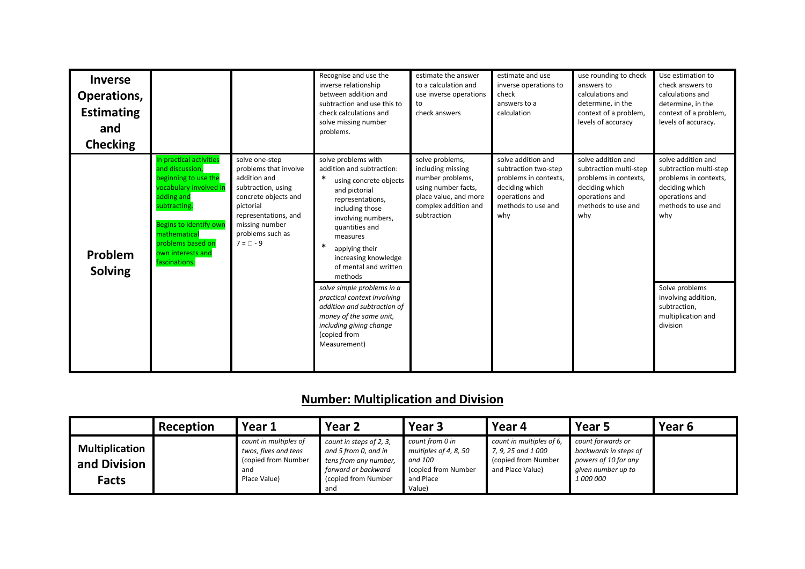| <b>Inverse</b><br>Operations,<br><b>Estimating</b><br>and<br><b>Checking</b>                                                                                                                                                                                        |                                                                                                                                                                                                    | Recognise and use the<br>inverse relationship<br>between addition and<br>subtraction and use this to<br>check calculations and<br>solve missing number<br>problems.                                                                                                                                                                                                                                                                                                   | estimate the answer<br>to a calculation and<br>use inverse operations<br>to<br>check answers                                                    | estimate and use<br>inverse operations to<br>check<br>answers to a<br>calculation                                                    | use rounding to check<br>answers to<br>calculations and<br>determine, in the<br>context of a problem,<br>levels of accuracy            | Use estimation to<br>check answers to<br>calculations and<br>determine, in the<br>context of a problem,<br>levels of accuracy.                                                                                                    |
|---------------------------------------------------------------------------------------------------------------------------------------------------------------------------------------------------------------------------------------------------------------------|----------------------------------------------------------------------------------------------------------------------------------------------------------------------------------------------------|-----------------------------------------------------------------------------------------------------------------------------------------------------------------------------------------------------------------------------------------------------------------------------------------------------------------------------------------------------------------------------------------------------------------------------------------------------------------------|-------------------------------------------------------------------------------------------------------------------------------------------------|--------------------------------------------------------------------------------------------------------------------------------------|----------------------------------------------------------------------------------------------------------------------------------------|-----------------------------------------------------------------------------------------------------------------------------------------------------------------------------------------------------------------------------------|
| In practical activities<br>and discussion,<br>beginning to use the<br>vocabulary involved in<br>adding and<br>subtracting.<br><b>Begins to identify own</b><br>mathematical<br>problems based on<br>own interests and<br>Problem<br>fascinations.<br><b>Solving</b> | solve one-step<br>problems that involve<br>addition and<br>subtraction, using<br>concrete objects and<br>pictorial<br>representations, and<br>missing number<br>problems such as<br>$7 = \Box - 9$ | solve problems with<br>addition and subtraction:<br>$\ast$<br>using concrete objects<br>and pictorial<br>representations,<br>including those<br>involving numbers,<br>quantities and<br>measures<br>∗<br>applying their<br>increasing knowledge<br>of mental and written<br>methods<br>solve simple problems in a<br>practical context involving<br>addition and subtraction of<br>money of the same unit,<br>including giving change<br>(copied from<br>Measurement) | solve problems,<br>including missing<br>number problems,<br>using number facts,<br>place value, and more<br>complex addition and<br>subtraction | solve addition and<br>subtraction two-step<br>problems in contexts,<br>deciding which<br>operations and<br>methods to use and<br>why | solve addition and<br>subtraction multi-step<br>problems in contexts,<br>deciding which<br>operations and<br>methods to use and<br>why | solve addition and<br>subtraction multi-step<br>problems in contexts,<br>deciding which<br>operations and<br>methods to use and<br>why<br>Solve problems<br>involving addition,<br>subtraction,<br>multiplication and<br>division |

# **Number: Multiplication and Division**

|                                                       | Reception | Year 1                                                                                      | Year <sub>2</sub>                                                                                                             | Year 3                                                                                             | Year 4                                                                                    | Year 5                                                                                                       | Year 6 |
|-------------------------------------------------------|-----------|---------------------------------------------------------------------------------------------|-------------------------------------------------------------------------------------------------------------------------------|----------------------------------------------------------------------------------------------------|-------------------------------------------------------------------------------------------|--------------------------------------------------------------------------------------------------------------|--------|
| <b>Multiplication</b><br>and Division<br><b>Facts</b> |           | count in multiples of<br>twos, fives and tens<br>(copied from Number<br>and<br>Place Value) | count in steps of 2, 3,<br>and 5 from 0, and in<br>tens from any number,<br>forward or backward<br>(copied from Number<br>and | count from 0 in<br>multiples of 4, 8, 50<br>and 100<br>(copied from Number)<br>and Place<br>Value) | count in multiples of 6,<br>7, 9, 25 and 1 000<br>(copied from Number<br>and Place Value) | count forwards or<br>backwards in steps of<br>powers of 10 for any<br>given number up to<br><i>1 000 000</i> |        |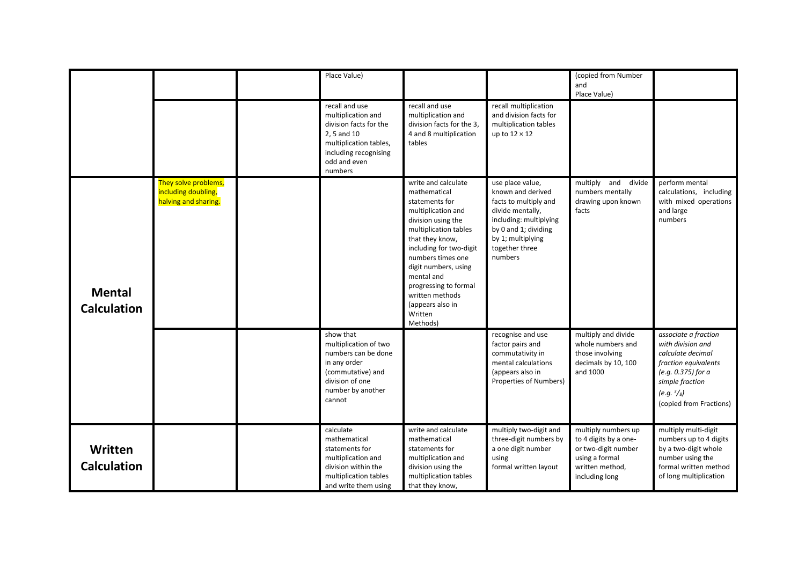|                                     |                                                                     | Place Value)                                                                                                                                                |                                                                                                                                                                                                                                                                                                                            |                                                                                                                                                                                        | (copied from Number<br>and<br>Place Value)                                                                                 |                                                                                                                                                                                    |
|-------------------------------------|---------------------------------------------------------------------|-------------------------------------------------------------------------------------------------------------------------------------------------------------|----------------------------------------------------------------------------------------------------------------------------------------------------------------------------------------------------------------------------------------------------------------------------------------------------------------------------|----------------------------------------------------------------------------------------------------------------------------------------------------------------------------------------|----------------------------------------------------------------------------------------------------------------------------|------------------------------------------------------------------------------------------------------------------------------------------------------------------------------------|
|                                     |                                                                     | recall and use<br>multiplication and<br>division facts for the<br>2, 5 and 10<br>multiplication tables,<br>including recognising<br>odd and even<br>numbers | recall and use<br>multiplication and<br>division facts for the 3,<br>4 and 8 multiplication<br>tables                                                                                                                                                                                                                      | recall multiplication<br>and division facts for<br>multiplication tables<br>up to $12 \times 12$                                                                                       |                                                                                                                            |                                                                                                                                                                                    |
| <b>Mental</b><br><b>Calculation</b> | They solve problems,<br>including doubling,<br>halving and sharing. |                                                                                                                                                             | write and calculate<br>mathematical<br>statements for<br>multiplication and<br>division using the<br>multiplication tables<br>that they know,<br>including for two-digit<br>numbers times one<br>digit numbers, using<br>mental and<br>progressing to formal<br>written methods<br>(appears also in<br>Written<br>Methods) | use place value,<br>known and derived<br>facts to multiply and<br>divide mentally,<br>including: multiplying<br>by 0 and 1; dividing<br>by 1; multiplying<br>together three<br>numbers | multiply and divide<br>numbers mentally<br>drawing upon known<br>facts                                                     | perform mental<br>calculations, including<br>with mixed operations<br>and large<br>numbers                                                                                         |
|                                     |                                                                     | show that<br>multiplication of two<br>numbers can be done<br>in any order<br>(commutative) and<br>division of one<br>number by another<br>cannot            |                                                                                                                                                                                                                                                                                                                            | recognise and use<br>factor pairs and<br>commutativity in<br>mental calculations<br>(appears also in<br>Properties of Numbers)                                                         | multiply and divide<br>whole numbers and<br>those involving<br>decimals by 10, 100<br>and 1000                             | associate a fraction<br>with division and<br>calculate decimal<br>fraction equivalents<br>(e.g. 0.375) for a<br>simple fraction<br>$(e.g. \frac{3}{8})$<br>(copied from Fractions) |
| Written<br><b>Calculation</b>       |                                                                     | calculate<br>mathematical<br>statements for<br>multiplication and<br>division within the<br>multiplication tables<br>and write them using                   | write and calculate<br>mathematical<br>statements for<br>multiplication and<br>division using the<br>multiplication tables<br>that they know,                                                                                                                                                                              | multiply two-digit and<br>three-digit numbers by<br>a one digit number<br>using<br>formal written layout                                                                               | multiply numbers up<br>to 4 digits by a one-<br>or two-digit number<br>using a formal<br>written method,<br>including long | multiply multi-digit<br>numbers up to 4 digits<br>by a two-digit whole<br>number using the<br>formal written method<br>of long multiplication                                      |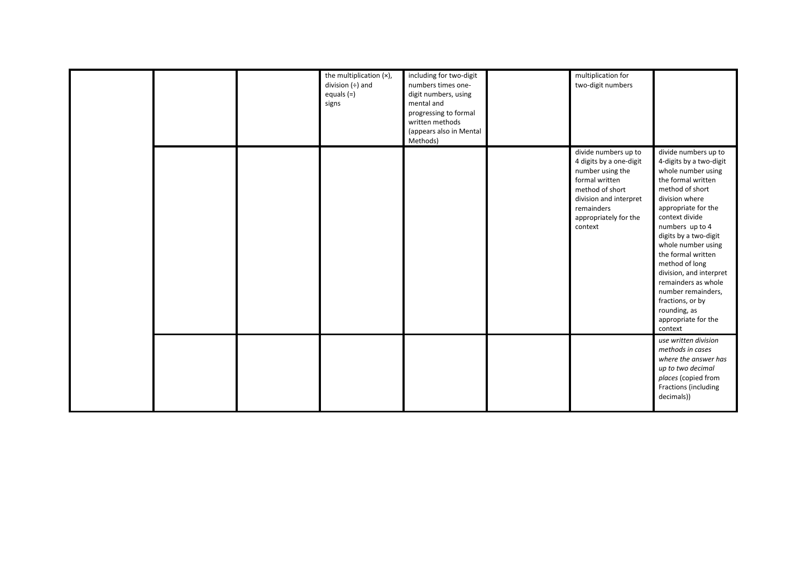|  | the multiplication (x),<br>division $(+)$ and<br>equals (=)<br>signs | including for two-digit<br>numbers times one-<br>digit numbers, using<br>mental and<br>progressing to formal<br>written methods<br>(appears also in Mental<br>Methods) | multiplication for<br>two-digit numbers                                                                                                                                              |                                                                                                                                                                                                                                                                                                                                                                                                                                   |
|--|----------------------------------------------------------------------|------------------------------------------------------------------------------------------------------------------------------------------------------------------------|--------------------------------------------------------------------------------------------------------------------------------------------------------------------------------------|-----------------------------------------------------------------------------------------------------------------------------------------------------------------------------------------------------------------------------------------------------------------------------------------------------------------------------------------------------------------------------------------------------------------------------------|
|  |                                                                      |                                                                                                                                                                        | divide numbers up to<br>4 digits by a one-digit<br>number using the<br>formal written<br>method of short<br>division and interpret<br>remainders<br>appropriately for the<br>context | divide numbers up to<br>4-digits by a two-digit<br>whole number using<br>the formal written<br>method of short<br>division where<br>appropriate for the<br>context divide<br>numbers up to 4<br>digits by a two-digit<br>whole number using<br>the formal written<br>method of long<br>division, and interpret<br>remainders as whole<br>number remainders,<br>fractions, or by<br>rounding, as<br>appropriate for the<br>context |
|  |                                                                      |                                                                                                                                                                        |                                                                                                                                                                                      | use written division<br>methods in cases<br>where the answer has<br>up to two decimal<br>places (copied from<br>Fractions (including<br>decimals))                                                                                                                                                                                                                                                                                |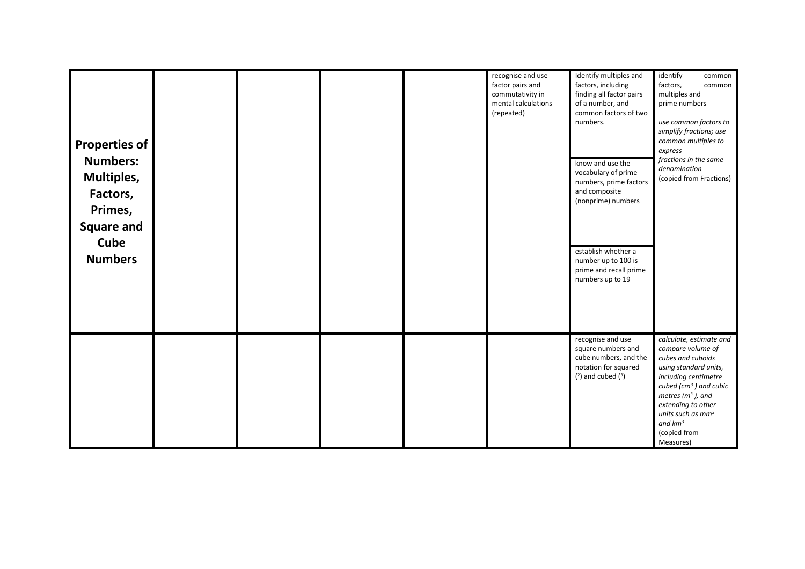| <b>Properties of</b><br><b>Numbers:</b><br>Multiples,<br>Factors,<br>Primes,<br><b>Square and</b><br>Cube<br><b>Numbers</b> |  |  | recognise and use<br>factor pairs and<br>commutativity in<br>mental calculations<br>(repeated) | Identify multiples and<br>factors, including<br>finding all factor pairs<br>of a number, and<br>common factors of two<br>numbers.<br>know and use the<br>vocabulary of prime<br>numbers, prime factors<br>and composite<br>(nonprime) numbers<br>establish whether a<br>number up to 100 is<br>prime and recall prime<br>numbers up to 19 | identify<br>common<br>factors,<br>common<br>multiples and<br>prime numbers<br>use common factors to<br>simplify fractions; use<br>common multiples to<br>express<br>fractions in the same<br>denomination<br>(copied from Fractions)                            |
|-----------------------------------------------------------------------------------------------------------------------------|--|--|------------------------------------------------------------------------------------------------|-------------------------------------------------------------------------------------------------------------------------------------------------------------------------------------------------------------------------------------------------------------------------------------------------------------------------------------------|-----------------------------------------------------------------------------------------------------------------------------------------------------------------------------------------------------------------------------------------------------------------|
|                                                                                                                             |  |  |                                                                                                |                                                                                                                                                                                                                                                                                                                                           |                                                                                                                                                                                                                                                                 |
|                                                                                                                             |  |  |                                                                                                | recognise and use<br>square numbers and<br>cube numbers, and the<br>notation for squared<br>$(2)$ and cubed $(3)$                                                                                                                                                                                                                         | calculate, estimate and<br>compare volume of<br>cubes and cuboids<br>using standard units,<br>including centimetre<br>cubed ( $cm3$ ) and cubic<br>metres ( $m3$ ), and<br>extending to other<br>units such as $mm3$<br>and $km^3$<br>(copied from<br>Measures) |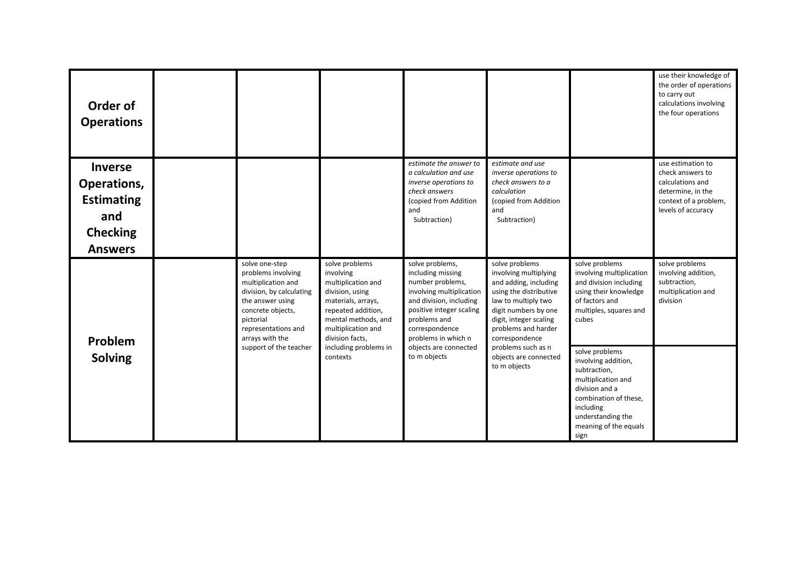| Order of<br><b>Operations</b>                                                                  |                                                                                                                                                                                        |                                                                                                                                                                                  |                                                                                                                                                                                                      |                                                                                                                                                                                                              |                                                                                                                                                                                           | use their knowledge of<br>the order of operations<br>to carry out<br>calculations involving<br>the four operations            |
|------------------------------------------------------------------------------------------------|----------------------------------------------------------------------------------------------------------------------------------------------------------------------------------------|----------------------------------------------------------------------------------------------------------------------------------------------------------------------------------|------------------------------------------------------------------------------------------------------------------------------------------------------------------------------------------------------|--------------------------------------------------------------------------------------------------------------------------------------------------------------------------------------------------------------|-------------------------------------------------------------------------------------------------------------------------------------------------------------------------------------------|-------------------------------------------------------------------------------------------------------------------------------|
| <b>Inverse</b><br>Operations,<br><b>Estimating</b><br>and<br><b>Checking</b><br><b>Answers</b> |                                                                                                                                                                                        |                                                                                                                                                                                  | estimate the answer to<br>a calculation and use<br>inverse operations to<br>check answers<br>(copied from Addition<br>and<br>Subtraction)                                                            | estimate and use<br>inverse operations to<br>check answers to a<br>calculation<br>(copied from Addition<br>and<br>Subtraction)                                                                               |                                                                                                                                                                                           | use estimation to<br>check answers to<br>calculations and<br>determine, in the<br>context of a problem,<br>levels of accuracy |
| Problem                                                                                        | solve one-step<br>problems involving<br>multiplication and<br>division, by calculating<br>the answer using<br>concrete objects,<br>pictorial<br>representations and<br>arrays with the | solve problems<br>involving<br>multiplication and<br>division, using<br>materials, arrays,<br>repeated addition,<br>mental methods, and<br>multiplication and<br>division facts, | solve problems,<br>including missing<br>number problems,<br>involving multiplication<br>and division, including<br>positive integer scaling<br>problems and<br>correspondence<br>problems in which n | solve problems<br>involving multiplying<br>and adding, including<br>using the distributive<br>law to multiply two<br>digit numbers by one<br>digit, integer scaling<br>problems and harder<br>correspondence | solve problems<br>involving multiplication<br>and division including<br>using their knowledge<br>of factors and<br>multiples, squares and<br>cubes                                        | solve problems<br>involving addition,<br>subtraction,<br>multiplication and<br>division                                       |
| <b>Solving</b>                                                                                 | support of the teacher                                                                                                                                                                 | including problems in<br>contexts                                                                                                                                                | objects are connected<br>to m objects                                                                                                                                                                | problems such as n<br>objects are connected<br>to m objects                                                                                                                                                  | solve problems<br>involving addition,<br>subtraction,<br>multiplication and<br>division and a<br>combination of these,<br>including<br>understanding the<br>meaning of the equals<br>sign |                                                                                                                               |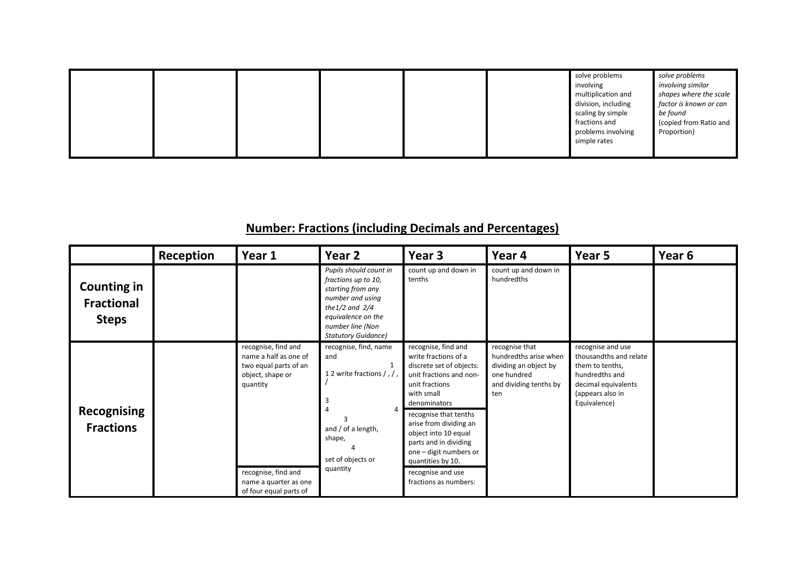|  |  |  |  |  |  | solve problems<br>involving<br>multiplication and<br>division, including<br>scaling by simple<br>fractions and<br>problems involving<br>simple rates | solve problems<br>involving similar<br>shapes where the scale<br>factor is known or can<br>be found<br>(copied from Ratio and<br>Proportion) |
|--|--|--|--|--|--|------------------------------------------------------------------------------------------------------------------------------------------------------|----------------------------------------------------------------------------------------------------------------------------------------------|
|--|--|--|--|--|--|------------------------------------------------------------------------------------------------------------------------------------------------------|----------------------------------------------------------------------------------------------------------------------------------------------|

# **Number: Fractions (including Decimals and Percentages)**

|                                                         | Reception | Year 1                                                                                                | Year <sub>2</sub>                                                                                                                                                                     | Year <sub>3</sub>                                                                                                                                  | Year 4                                                                                                           | Year 5                                                                                                                                      | Year <sub>6</sub> |
|---------------------------------------------------------|-----------|-------------------------------------------------------------------------------------------------------|---------------------------------------------------------------------------------------------------------------------------------------------------------------------------------------|----------------------------------------------------------------------------------------------------------------------------------------------------|------------------------------------------------------------------------------------------------------------------|---------------------------------------------------------------------------------------------------------------------------------------------|-------------------|
| <b>Counting in</b><br><b>Fractional</b><br><b>Steps</b> |           |                                                                                                       | Pupils should count in<br>fractions up to 10,<br>starting from any<br>number and using<br>the $1/2$ and $2/4$<br>equivalence on the<br>number line (Non<br><b>Statutory Guidance)</b> | count up and down in<br>tenths                                                                                                                     | count up and down in<br>hundredths                                                                               |                                                                                                                                             |                   |
|                                                         |           | recognise, find and<br>name a half as one of<br>two equal parts of an<br>object, shape or<br>quantity | recognise, find, name<br>and<br>1<br>12 write fractions /, /,                                                                                                                         | recognise, find and<br>write fractions of a<br>discrete set of objects:<br>unit fractions and non-<br>unit fractions<br>with small<br>denominators | recognise that<br>hundredths arise when<br>dividing an object by<br>one hundred<br>and dividing tenths by<br>ten | recognise and use<br>thousandths and relate<br>them to tenths,<br>hundredths and<br>decimal equivalents<br>(appears also in<br>Equivalence) |                   |
| <b>Recognising</b><br><b>Fractions</b>                  |           |                                                                                                       | and / of a length,<br>shape,<br>set of objects or                                                                                                                                     | recognise that tenths<br>arise from dividing an<br>object into 10 equal<br>parts and in dividing<br>one - digit numbers or<br>quantities by 10.    |                                                                                                                  |                                                                                                                                             |                   |
|                                                         |           | recognise, find and<br>name a quarter as one<br>of four equal parts of                                | quantity                                                                                                                                                                              | recognise and use<br>fractions as numbers:                                                                                                         |                                                                                                                  |                                                                                                                                             |                   |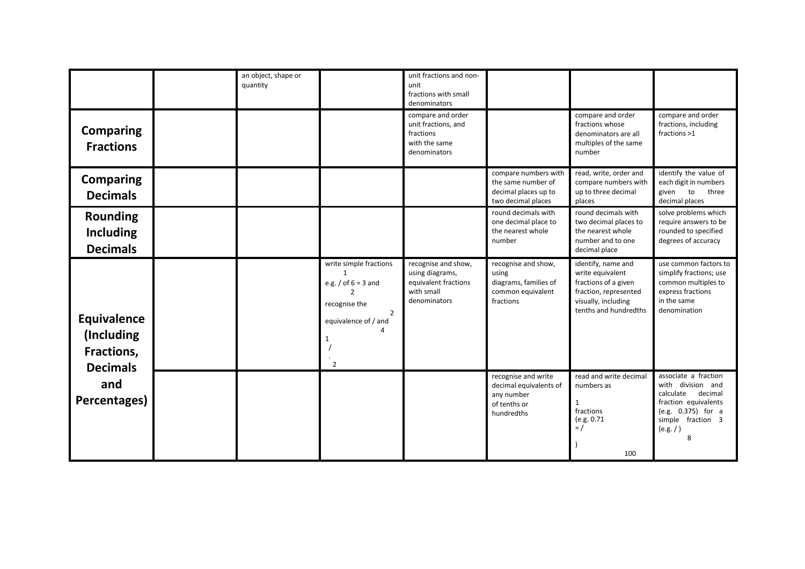|                                                            | an object, shape or<br>quantity |                                                                                                                                                          | unit fractions and non-<br>unit<br>fractions with small<br>denominators                      |                                                                                           |                                                                                                                                         |                                                                                                                                                        |
|------------------------------------------------------------|---------------------------------|----------------------------------------------------------------------------------------------------------------------------------------------------------|----------------------------------------------------------------------------------------------|-------------------------------------------------------------------------------------------|-----------------------------------------------------------------------------------------------------------------------------------------|--------------------------------------------------------------------------------------------------------------------------------------------------------|
| <b>Comparing</b><br><b>Fractions</b>                       |                                 |                                                                                                                                                          | compare and order<br>unit fractions, and<br>fractions<br>with the same<br>denominators       |                                                                                           | compare and order<br>fractions whose<br>denominators are all<br>multiples of the same<br>number                                         | compare and order<br>fractions, including<br>fractions >1                                                                                              |
| <b>Comparing</b><br><b>Decimals</b>                        |                                 |                                                                                                                                                          |                                                                                              | compare numbers with<br>the same number of<br>decimal places up to<br>two decimal places  | read, write, order and<br>compare numbers with<br>up to three decimal<br>places                                                         | identify the value of<br>each digit in numbers<br>given<br>to<br>three<br>decimal places                                                               |
| <b>Rounding</b><br><b>Including</b><br><b>Decimals</b>     |                                 |                                                                                                                                                          |                                                                                              | round decimals with<br>one decimal place to<br>the nearest whole<br>number                | round decimals with<br>two decimal places to<br>the nearest whole<br>number and to one<br>decimal place                                 | solve problems which<br>require answers to be<br>rounded to specified<br>degrees of accuracy                                                           |
| Equivalence<br>(Including<br>Fractions,<br><b>Decimals</b> |                                 | write simple fractions<br>$\mathbf{1}$<br>e.g. / of $6 = 3$ and<br>recognise the<br>$\overline{2}$<br>equivalence of / and<br>$\Delta$<br>$\overline{2}$ | recognise and show,<br>using diagrams,<br>equivalent fractions<br>with small<br>denominators | recognise and show,<br>using<br>diagrams, families of<br>common equivalent<br>fractions   | identify, name and<br>write equivalent<br>fractions of a given<br>fraction, represented<br>visually, including<br>tenths and hundredths | use common factors to<br>simplify fractions; use<br>common multiples to<br>express fractions<br>in the same<br>denomination                            |
| and<br>Percentages)                                        |                                 |                                                                                                                                                          |                                                                                              | recognise and write<br>decimal equivalents of<br>any number<br>of tenths or<br>hundredths | read and write decimal<br>numbers as<br>1<br>fractions<br>(e.g. 0.71<br>$=$ /<br>100                                                    | associate a fraction<br>with division and<br>decimal<br>calculate<br>fraction equivalents<br>(e.g. 0.375) for a<br>simple fraction 3<br>(e.g. / )<br>8 |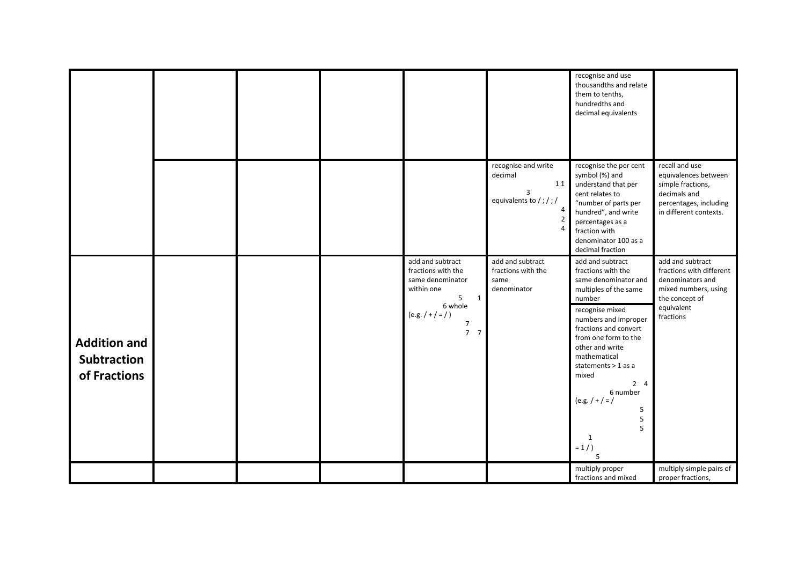|                                                           |  |                                                                                                                                                                     |                                                                        | recognise and use<br>thousandths and relate<br>them to tenths,<br>hundredths and<br>decimal equivalents                                                                                                                                                                                                                                                        |                                                                                                                                       |
|-----------------------------------------------------------|--|---------------------------------------------------------------------------------------------------------------------------------------------------------------------|------------------------------------------------------------------------|----------------------------------------------------------------------------------------------------------------------------------------------------------------------------------------------------------------------------------------------------------------------------------------------------------------------------------------------------------------|---------------------------------------------------------------------------------------------------------------------------------------|
|                                                           |  |                                                                                                                                                                     | recognise and write<br>decimal<br>11<br>3<br>equivalents to /;/;/<br>4 | recognise the per cent<br>symbol (%) and<br>understand that per<br>cent relates to<br>"number of parts per<br>hundred", and write<br>percentages as a<br>fraction with<br>denominator 100 as a<br>decimal fraction                                                                                                                                             | recall and use<br>equivalences between<br>simple fractions,<br>decimals and<br>percentages, including<br>in different contexts.       |
| <b>Addition and</b><br><b>Subtraction</b><br>of Fractions |  | add and subtract<br>fractions with the<br>same denominator<br>within one<br>5<br>$\mathbf{1}$<br>6 whole<br>$(e.g. / + / = / )$<br>$\overline{7}$<br>7 <sub>7</sub> | add and subtract<br>fractions with the<br>same<br>denominator          | add and subtract<br>fractions with the<br>same denominator and<br>multiples of the same<br>number<br>recognise mixed<br>numbers and improper<br>fractions and convert<br>from one form to the<br>other and write<br>mathematical<br>statements > 1 as a<br>mixed<br>$2 \quad 4$<br>6 number<br>$(e.g. / + / = /$<br>5<br>5<br>5<br>$\mathbf{1}$<br>$= 1/$<br>5 | add and subtract<br>fractions with different<br>denominators and<br>mixed numbers, using<br>the concept of<br>equivalent<br>fractions |
|                                                           |  |                                                                                                                                                                     |                                                                        | multiply proper<br>fractions and mixed                                                                                                                                                                                                                                                                                                                         | multiply simple pairs of<br>proper fractions,                                                                                         |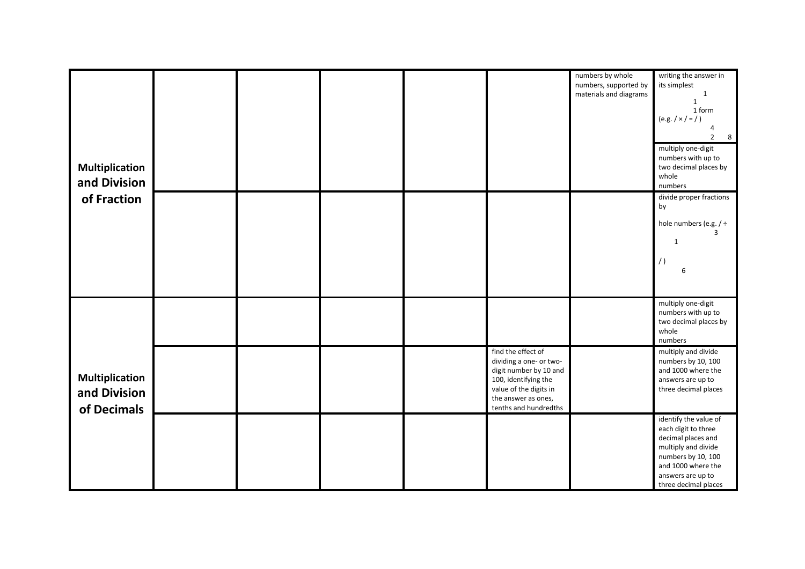| <b>Multiplication</b><br>and Division<br>of Fraction |  |  |                                                                                                                                                                           | numbers by whole<br>numbers, supported by<br>materials and diagrams | writing the answer in<br>its simplest<br>$\mathbf{1}$<br>$\mathbf{1}$<br>1 form<br>(e.g. / x / z)<br>$\overline{2}$<br>$\overline{\mathbf{8}}$<br>multiply one-digit<br>numbers with up to<br>two decimal places by<br>whole<br>numbers |
|------------------------------------------------------|--|--|---------------------------------------------------------------------------------------------------------------------------------------------------------------------------|---------------------------------------------------------------------|-----------------------------------------------------------------------------------------------------------------------------------------------------------------------------------------------------------------------------------------|
|                                                      |  |  |                                                                                                                                                                           |                                                                     | divide proper fractions<br>by<br>hole numbers (e.g. / $\div$<br>ર<br>$\mathbf{1}$<br>6                                                                                                                                                  |
|                                                      |  |  |                                                                                                                                                                           |                                                                     | multiply one-digit<br>numbers with up to<br>two decimal places by<br>whole<br>numbers                                                                                                                                                   |
| <b>Multiplication</b><br>and Division<br>of Decimals |  |  | find the effect of<br>dividing a one- or two-<br>digit number by 10 and<br>100, identifying the<br>value of the digits in<br>the answer as ones,<br>tenths and hundredths |                                                                     | multiply and divide<br>numbers by 10, 100<br>and 1000 where the<br>answers are up to<br>three decimal places                                                                                                                            |
|                                                      |  |  |                                                                                                                                                                           |                                                                     | identify the value of<br>each digit to three<br>decimal places and<br>multiply and divide<br>numbers by 10, 100<br>and 1000 where the<br>answers are up to<br>three decimal places                                                      |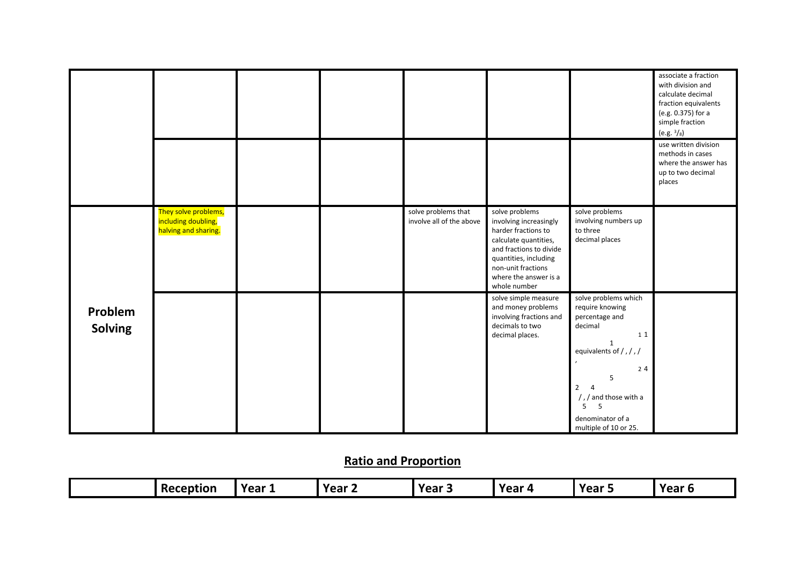|                           |                                                                     |  |                                                 |                                                                                                                                                                                                             |                                                                                                                                                                                                                                                       | associate a fraction<br>with division and<br>calculate decimal<br>fraction equivalents<br>(e.g. 0.375) for a<br>simple fraction<br>(e.g. <sup>3</sup> /s) |
|---------------------------|---------------------------------------------------------------------|--|-------------------------------------------------|-------------------------------------------------------------------------------------------------------------------------------------------------------------------------------------------------------------|-------------------------------------------------------------------------------------------------------------------------------------------------------------------------------------------------------------------------------------------------------|-----------------------------------------------------------------------------------------------------------------------------------------------------------|
|                           |                                                                     |  |                                                 |                                                                                                                                                                                                             |                                                                                                                                                                                                                                                       | use written division<br>methods in cases<br>where the answer has<br>up to two decimal<br>places                                                           |
|                           | They solve problems,<br>including doubling,<br>halving and sharing. |  | solve problems that<br>involve all of the above | solve problems<br>involving increasingly<br>harder fractions to<br>calculate quantities,<br>and fractions to divide<br>quantities, including<br>non-unit fractions<br>where the answer is a<br>whole number | solve problems<br>involving numbers up<br>to three<br>decimal places                                                                                                                                                                                  |                                                                                                                                                           |
| Problem<br><b>Solving</b> |                                                                     |  |                                                 | solve simple measure<br>and money problems<br>involving fractions and<br>decimals to two<br>decimal places.                                                                                                 | solve problems which<br>require knowing<br>percentage and<br>decimal<br>11<br>$\mathbf{1}$<br>equivalents of /, /, /<br>$24$<br>$\overline{2}$<br>$\overline{4}$<br>$/$ , $/$ and those with a<br>5<br>5<br>denominator of a<br>multiple of 10 or 25. |                                                                                                                                                           |

## **Ratio and Proportion**

| Reception | Year 1 | Year | Year 5 | Year<br>$\mathbf{u}$ | <b>Voor</b><br>נ וסס | Year 6 |
|-----------|--------|------|--------|----------------------|----------------------|--------|
|           |        |      |        |                      |                      |        |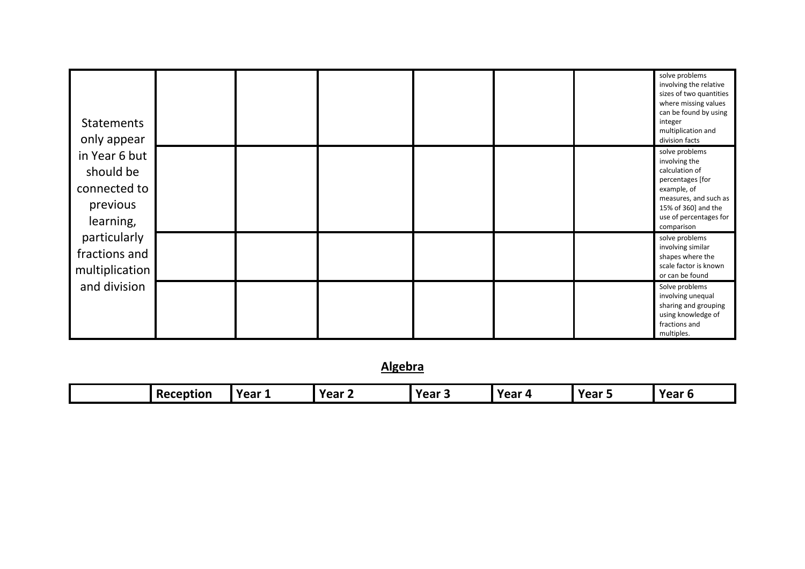| <b>Statements</b><br>only appear<br>in Year 6 but<br>should be<br>connected to<br>previous<br>learning, |  |  |  | solve problems<br>involving the relative<br>sizes of two quantities<br>where missing values<br>can be found by using<br>integer<br>multiplication and<br>division facts      |
|---------------------------------------------------------------------------------------------------------|--|--|--|------------------------------------------------------------------------------------------------------------------------------------------------------------------------------|
|                                                                                                         |  |  |  | solve problems<br>involving the<br>calculation of<br>percentages [for<br>example, of<br>measures, and such as<br>15% of 360] and the<br>use of percentages for<br>comparison |
| particularly<br>fractions and<br>multiplication                                                         |  |  |  | solve problems<br>involving similar<br>shapes where the<br>scale factor is known<br>or can be found                                                                          |
| and division                                                                                            |  |  |  | Solve problems<br>involving unequal<br>sharing and grouping<br>using knowledge of<br>fractions and<br>multiples.                                                             |

**Algebra**

| Reception | <b>Year</b><br>. . | Year $\sim$ | Year. | . Voor<br>. .<br>.<br>$\ddot{\phantom{0}}$ | Year. | Year |
|-----------|--------------------|-------------|-------|--------------------------------------------|-------|------|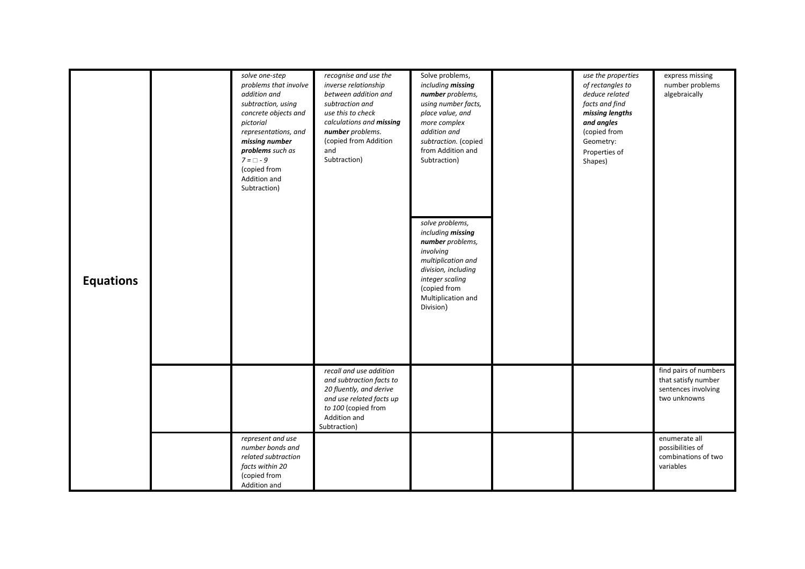| <b>Equations</b> | solve one-step<br>problems that involve<br>addition and<br>subtraction, using<br>concrete objects and<br>pictorial<br>representations, and<br>missing number<br>problems such as<br>$7 = \Box - 9$<br>(copied from<br>Addition and<br>Subtraction) | recognise and use the<br>inverse relationship<br>between addition and<br>subtraction and<br>use this to check<br>calculations and missing<br>number problems.<br>(copied from Addition<br>and<br>Subtraction) | Solve problems,<br>including missing<br>number problems,<br>using number facts,<br>place value, and<br>more complex<br>addition and<br>subtraction. (copied<br>from Addition and<br>Subtraction)<br>solve problems,<br>including missing<br>number problems,<br>involving<br>multiplication and<br>division, including<br>integer scaling<br>(copied from<br>Multiplication and<br>Division) | use the properties<br>of rectangles to<br>deduce related<br>facts and find<br>missing lengths<br>and angles<br>(copied from<br>Geometry:<br>Properties of<br>Shapes) | express missing<br>number problems<br>algebraically                                 |
|------------------|----------------------------------------------------------------------------------------------------------------------------------------------------------------------------------------------------------------------------------------------------|---------------------------------------------------------------------------------------------------------------------------------------------------------------------------------------------------------------|----------------------------------------------------------------------------------------------------------------------------------------------------------------------------------------------------------------------------------------------------------------------------------------------------------------------------------------------------------------------------------------------|----------------------------------------------------------------------------------------------------------------------------------------------------------------------|-------------------------------------------------------------------------------------|
|                  |                                                                                                                                                                                                                                                    | recall and use addition<br>and subtraction facts to<br>20 fluently, and derive<br>and use related facts up<br>to 100 (copied from<br>Addition and<br>Subtraction)                                             |                                                                                                                                                                                                                                                                                                                                                                                              |                                                                                                                                                                      | find pairs of numbers<br>that satisfy number<br>sentences involving<br>two unknowns |
|                  | represent and use<br>number bonds and<br>related subtraction<br>facts within 20<br>(copied from<br>Addition and                                                                                                                                    |                                                                                                                                                                                                               |                                                                                                                                                                                                                                                                                                                                                                                              |                                                                                                                                                                      | enumerate all<br>possibilities of<br>combinations of two<br>variables               |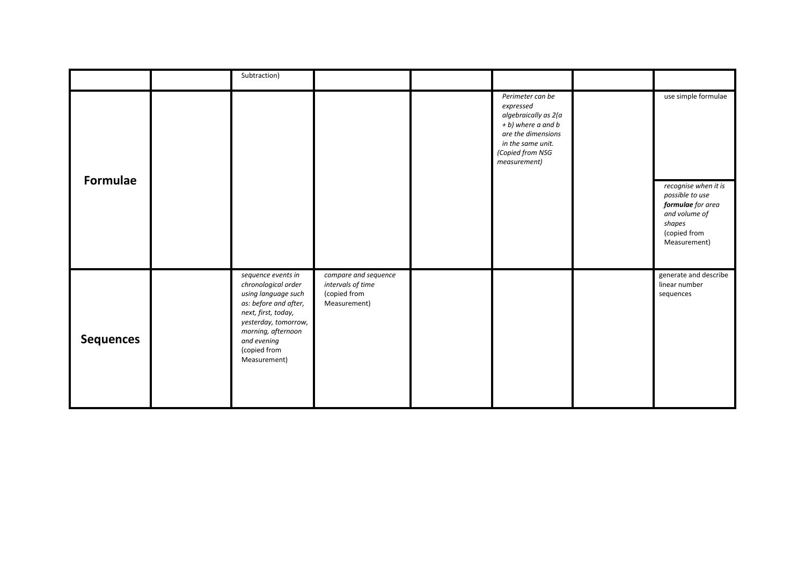|                  | Subtraction)                                                                                                                                                                                                  |                                                                           |                                                                                                                                                            |                                                                                                                         |
|------------------|---------------------------------------------------------------------------------------------------------------------------------------------------------------------------------------------------------------|---------------------------------------------------------------------------|------------------------------------------------------------------------------------------------------------------------------------------------------------|-------------------------------------------------------------------------------------------------------------------------|
| Formulae         |                                                                                                                                                                                                               |                                                                           | Perimeter can be<br>expressed<br>algebraically as 2(a<br>+ b) where a and b<br>are the dimensions<br>in the same unit.<br>(Copied from NSG<br>measurement) | use simple formulae                                                                                                     |
|                  |                                                                                                                                                                                                               |                                                                           |                                                                                                                                                            | recognise when it is<br>possible to use<br>formulae for area<br>and volume of<br>shapes<br>(copied from<br>Measurement) |
| <b>Sequences</b> | sequence events in<br>chronological order<br>using language such<br>as: before and after,<br>next, first, today,<br>yesterday, tomorrow,<br>morning, afternoon<br>and evening<br>(copied from<br>Measurement) | compare and sequence<br>intervals of time<br>(copied from<br>Measurement) |                                                                                                                                                            | generate and describe<br>linear number<br>sequences                                                                     |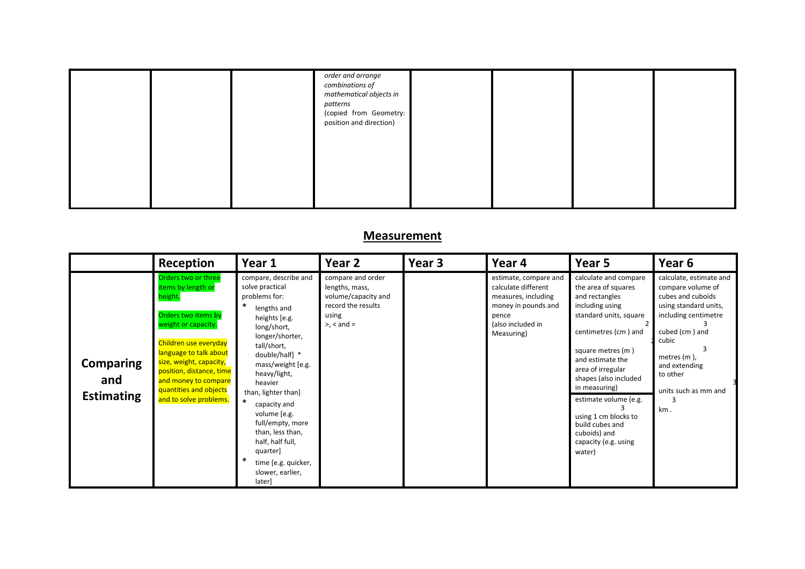|  | order and arrange<br>combinations of<br>mathematical objects in<br>patterns<br>(copied from Geometry:<br>position and direction) |  |  |
|--|----------------------------------------------------------------------------------------------------------------------------------|--|--|
|  |                                                                                                                                  |  |  |

### **Measurement**

|                                              | Reception                                                                                                                                                                                                                                                                                | Year 1                                                                                                                                                                                                                                                                                                                                                                                                              | Year <sub>2</sub>                                                                                              | Year <sub>3</sub> | Year 4                                                                                                                                 | Year 5                                                                                                                                                                                                                                                                                                                                                            | Year <sub>6</sub>                                                                                                                                                                                                                |
|----------------------------------------------|------------------------------------------------------------------------------------------------------------------------------------------------------------------------------------------------------------------------------------------------------------------------------------------|---------------------------------------------------------------------------------------------------------------------------------------------------------------------------------------------------------------------------------------------------------------------------------------------------------------------------------------------------------------------------------------------------------------------|----------------------------------------------------------------------------------------------------------------|-------------------|----------------------------------------------------------------------------------------------------------------------------------------|-------------------------------------------------------------------------------------------------------------------------------------------------------------------------------------------------------------------------------------------------------------------------------------------------------------------------------------------------------------------|----------------------------------------------------------------------------------------------------------------------------------------------------------------------------------------------------------------------------------|
| <b>Comparing</b><br>and<br><b>Estimating</b> | Orders two or three<br>items by length or<br>height.<br>Orders two items by<br>weight or capacity.<br>Children use everyday<br>language to talk about<br>size, weight, capacity,<br>position, distance, time<br>and money to compare<br>quantities and objects<br>and to solve problems. | compare, describe and<br>solve practical<br>problems for:<br>*<br>lengths and<br>heights [e.g.<br>long/short,<br>longer/shorter,<br>tall/short,<br>double/half] *<br>mass/weight [e.g.<br>heavy/light,<br>heavier<br>than, lighter than]<br>$\ast$<br>capacity and<br>volume [e.g.<br>full/empty, more<br>than, less than,<br>half, half full,<br>quarter<br>∗<br>time [e.g. quicker,<br>slower, earlier,<br>later] | compare and order<br>lengths, mass,<br>volume/capacity and<br>record the results<br>using<br>$>$ , $<$ and $=$ |                   | estimate, compare and<br>calculate different<br>measures, including<br>money in pounds and<br>pence<br>(also included in<br>Measuring) | calculate and compare<br>the area of squares<br>and rectangles<br>including using<br>standard units, square<br>centimetres (cm) and<br>square metres (m)<br>and estimate the<br>area of irregular<br>shapes (also included<br>in measuring)<br>estimate volume (e.g.<br>using 1 cm blocks to<br>build cubes and<br>cuboids) and<br>capacity (e.g. using<br>water) | calculate, estimate and<br>compare volume of<br>cubes and cuboids<br>using standard units,<br>including centimetre<br>cubed (cm) and<br>cubic<br>3<br>metres $(m)$ ,<br>and extending<br>to other<br>units such as mm and<br>km. |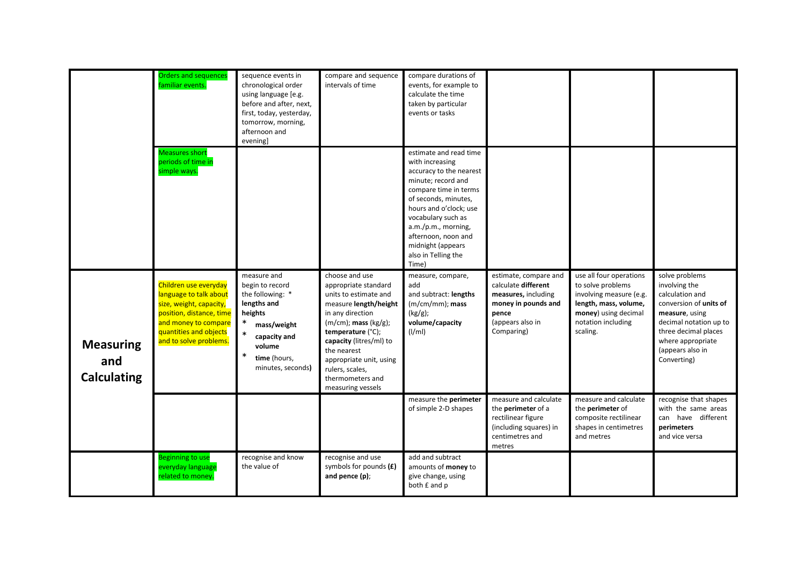|                                               | <b>Orders and sequences</b><br>familiar events.                                                                                                                                    | sequence events in<br>chronological order<br>using language [e.g.<br>before and after, next,<br>first, today, yesterday,<br>tomorrow, morning,<br>afternoon and<br>evening]              | compare and sequence<br>intervals of time                                                                                                                                                                                                                                                        | compare durations of<br>events, for example to<br>calculate the time<br>taken by particular<br>events or tasks                                                                                                                                                                                   |                                                                                                                                       |                                                                                                                                                            |                                                                                                                                                                                                          |
|-----------------------------------------------|------------------------------------------------------------------------------------------------------------------------------------------------------------------------------------|------------------------------------------------------------------------------------------------------------------------------------------------------------------------------------------|--------------------------------------------------------------------------------------------------------------------------------------------------------------------------------------------------------------------------------------------------------------------------------------------------|--------------------------------------------------------------------------------------------------------------------------------------------------------------------------------------------------------------------------------------------------------------------------------------------------|---------------------------------------------------------------------------------------------------------------------------------------|------------------------------------------------------------------------------------------------------------------------------------------------------------|----------------------------------------------------------------------------------------------------------------------------------------------------------------------------------------------------------|
|                                               | <b>Measures short</b><br>periods of time in<br>simple ways.                                                                                                                        |                                                                                                                                                                                          |                                                                                                                                                                                                                                                                                                  | estimate and read time<br>with increasing<br>accuracy to the nearest<br>minute; record and<br>compare time in terms<br>of seconds, minutes,<br>hours and o'clock; use<br>vocabulary such as<br>$a.m./p.m.,$ morning,<br>afternoon, noon and<br>midnight (appears<br>also in Telling the<br>Time) |                                                                                                                                       |                                                                                                                                                            |                                                                                                                                                                                                          |
| <b>Measuring</b><br>and<br><b>Calculating</b> | Children use everyday<br>language to talk about<br>size, weight, capacity,<br>position, distance, time<br>and money to compare<br>quantities and objects<br>and to solve problems. | measure and<br>begin to record<br>the following: *<br>lengths and<br>heights<br>$\ast$<br>mass/weight<br>$\ast$<br>capacity and<br>volume<br>$\ast$<br>time (hours,<br>minutes, seconds) | choose and use<br>appropriate standard<br>units to estimate and<br>measure length/height<br>in any direction<br>$(m/cm)$ ; mass $(kg/g)$ ;<br>temperature (°C);<br>capacity (litres/ml) to<br>the nearest<br>appropriate unit, using<br>rulers, scales,<br>thermometers and<br>measuring vessels | measure, compare,<br>add<br>and subtract: lengths<br>$(m/cm/mm)$ ; mass<br>(kg/g);<br>volume/capacity<br>(I/ml)                                                                                                                                                                                  | estimate, compare and<br>calculate different<br>measures, including<br>money in pounds and<br>pence<br>(appears also in<br>Comparing) | use all four operations<br>to solve problems<br>involving measure (e.g.<br>length, mass, volume,<br>money) using decimal<br>notation including<br>scaling. | solve problems<br>involving the<br>calculation and<br>conversion of units of<br>measure, using<br>decimal notation up to<br>three decimal places<br>where appropriate<br>(appears also in<br>Converting) |
|                                               |                                                                                                                                                                                    |                                                                                                                                                                                          |                                                                                                                                                                                                                                                                                                  | measure the perimeter<br>of simple 2-D shapes                                                                                                                                                                                                                                                    | measure and calculate<br>the perimeter of a<br>rectilinear figure<br>(including squares) in<br>centimetres and<br>metres              | measure and calculate<br>the <b>perimeter</b> of<br>composite rectilinear<br>shapes in centimetres<br>and metres                                           | recognise that shapes<br>with the same areas<br>can have different<br>perimeters<br>and vice versa                                                                                                       |
|                                               | <b>Beginning to use</b><br>everyday language<br>related to money.                                                                                                                  | recognise and know<br>the value of                                                                                                                                                       | recognise and use<br>symbols for pounds $(E)$<br>and pence (p);                                                                                                                                                                                                                                  | add and subtract<br>amounts of <b>money</b> to<br>give change, using<br>both £ and p                                                                                                                                                                                                             |                                                                                                                                       |                                                                                                                                                            |                                                                                                                                                                                                          |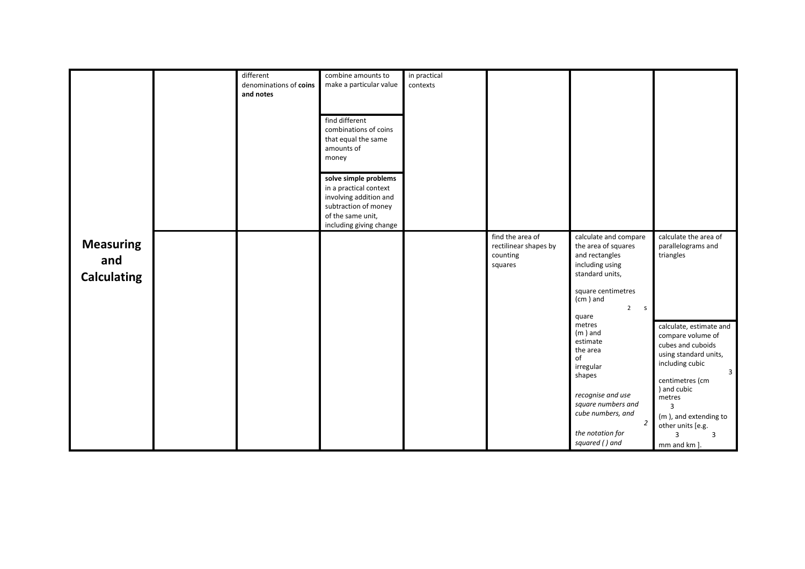|                                               | different<br>denominations of coins<br>and notes | combine amounts to<br>make a particular value<br>find different<br>combinations of coins<br>that equal the same<br>amounts of<br>money<br>solve simple problems<br>in a practical context<br>involving addition and<br>subtraction of money<br>of the same unit,<br>including giving change | in practical<br>contexts |                                                                  |                                                                                                                                                                                                                                                                                    |                                                                                                                                                                                                                                         |
|-----------------------------------------------|--------------------------------------------------|---------------------------------------------------------------------------------------------------------------------------------------------------------------------------------------------------------------------------------------------------------------------------------------------|--------------------------|------------------------------------------------------------------|------------------------------------------------------------------------------------------------------------------------------------------------------------------------------------------------------------------------------------------------------------------------------------|-----------------------------------------------------------------------------------------------------------------------------------------------------------------------------------------------------------------------------------------|
| <b>Measuring</b><br>and<br><b>Calculating</b> |                                                  |                                                                                                                                                                                                                                                                                             |                          | find the area of<br>rectilinear shapes by<br>counting<br>squares | calculate and compare<br>the area of squares<br>and rectangles<br>including using<br>standard units,<br>square centimetres<br>(cm) and<br>$\overline{2}$<br>$\mathsf{S}$<br>quare<br>metres<br>$(m)$ and<br>estimate<br>the area<br>of<br>irregular<br>shapes<br>recognise and use | calculate the area of<br>parallelograms and<br>triangles<br>calculate, estimate and<br>compare volume of<br>cubes and cuboids<br>using standard units,<br>including cubic<br>$\overline{3}$<br>centimetres (cm<br>) and cubic<br>metres |
|                                               |                                                  |                                                                                                                                                                                                                                                                                             |                          |                                                                  | square numbers and<br>cube numbers, and<br>$\overline{2}$<br>the notation for<br>squared () and                                                                                                                                                                                    | 3<br>(m), and extending to<br>other units [e.g.<br>3<br>3<br>mm and km ].                                                                                                                                                               |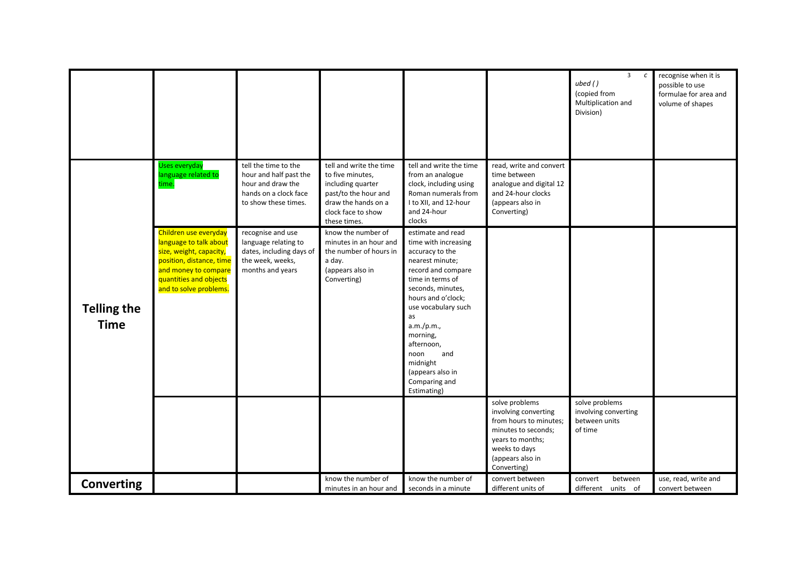|                                   |                                                                                                                                                                                    |                                                                                                                      |                                                                                                                                                       |                                                                                                                                                                                                                                                                                                                          |                                                                                                                                                                 | $\overline{3}$<br>$\epsilon$<br>ubed()<br>(copied from<br>Multiplication and<br>Division) | recognise when it is<br>possible to use<br>formulae for area and<br>volume of shapes |
|-----------------------------------|------------------------------------------------------------------------------------------------------------------------------------------------------------------------------------|----------------------------------------------------------------------------------------------------------------------|-------------------------------------------------------------------------------------------------------------------------------------------------------|--------------------------------------------------------------------------------------------------------------------------------------------------------------------------------------------------------------------------------------------------------------------------------------------------------------------------|-----------------------------------------------------------------------------------------------------------------------------------------------------------------|-------------------------------------------------------------------------------------------|--------------------------------------------------------------------------------------|
|                                   | <b>Uses everyday</b><br>language related to<br>time.                                                                                                                               | tell the time to the<br>hour and half past the<br>hour and draw the<br>hands on a clock face<br>to show these times. | tell and write the time<br>to five minutes,<br>including quarter<br>past/to the hour and<br>draw the hands on a<br>clock face to show<br>these times. | tell and write the time<br>from an analogue<br>clock, including using<br>Roman numerals from<br>I to XII, and 12-hour<br>and 24-hour<br>clocks                                                                                                                                                                           | read, write and convert<br>time between<br>analogue and digital 12<br>and 24-hour clocks<br>(appears also in<br>Converting)                                     |                                                                                           |                                                                                      |
| <b>Telling the</b><br><b>Time</b> | Children use everyday<br>language to talk about<br>size, weight, capacity,<br>position, distance, time<br>and money to compare<br>quantities and objects<br>and to solve problems. | recognise and use<br>language relating to<br>dates, including days of<br>the week, weeks,<br>months and years        | know the number of<br>minutes in an hour and<br>the number of hours in<br>a day.<br>(appears also in<br>Converting)                                   | estimate and read<br>time with increasing<br>accuracy to the<br>nearest minute;<br>record and compare<br>time in terms of<br>seconds, minutes,<br>hours and o'clock;<br>use vocabulary such<br>as<br>a.m./p.m.,<br>morning,<br>afternoon,<br>and<br>noon<br>midnight<br>(appears also in<br>Comparing and<br>Estimating) |                                                                                                                                                                 |                                                                                           |                                                                                      |
|                                   |                                                                                                                                                                                    |                                                                                                                      |                                                                                                                                                       |                                                                                                                                                                                                                                                                                                                          | solve problems<br>involving converting<br>from hours to minutes;<br>minutes to seconds;<br>years to months;<br>weeks to days<br>(appears also in<br>Converting) | solve problems<br>involving converting<br>between units<br>of time                        |                                                                                      |
| <b>Converting</b>                 |                                                                                                                                                                                    |                                                                                                                      | know the number of<br>minutes in an hour and                                                                                                          | know the number of<br>seconds in a minute                                                                                                                                                                                                                                                                                | convert between<br>different units of                                                                                                                           | convert<br>between<br>different units of                                                  | use, read, write and<br>convert between                                              |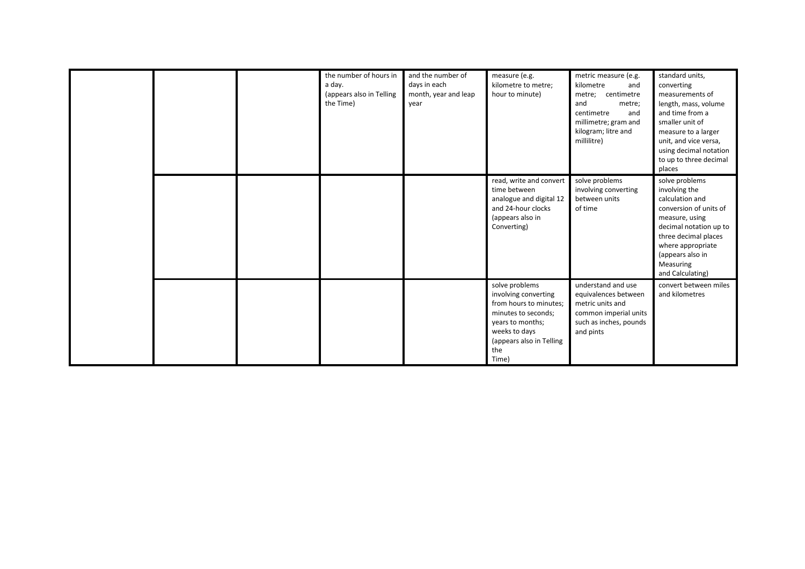|  | the number of hours in<br>a day.<br>(appears also in Telling<br>the Time) | and the number of<br>days in each<br>month, year and leap<br>year | measure (e.g.<br>kilometre to metre;<br>hour to minute)                                                                                                                  | metric measure (e.g.<br>kilometre<br>and<br>metre; centimetre<br>and<br>metre;<br>centimetre<br>and<br>millimetre; gram and<br>kilogram; litre and<br>millilitre) | standard units,<br>converting<br>measurements of<br>length, mass, volume<br>and time from a<br>smaller unit of<br>measure to a larger<br>unit, and vice versa,<br>using decimal notation<br>to up to three decimal<br>places |
|--|---------------------------------------------------------------------------|-------------------------------------------------------------------|--------------------------------------------------------------------------------------------------------------------------------------------------------------------------|-------------------------------------------------------------------------------------------------------------------------------------------------------------------|------------------------------------------------------------------------------------------------------------------------------------------------------------------------------------------------------------------------------|
|  |                                                                           |                                                                   | read, write and convert<br>time between<br>analogue and digital 12<br>and 24-hour clocks<br>(appears also in<br>Converting)                                              | solve problems<br>involving converting<br>between units<br>of time                                                                                                | solve problems<br>involving the<br>calculation and<br>conversion of units of<br>measure, using<br>decimal notation up to<br>three decimal places<br>where appropriate<br>(appears also in<br>Measuring<br>and Calculating)   |
|  |                                                                           |                                                                   | solve problems<br>involving converting<br>from hours to minutes;<br>minutes to seconds;<br>years to months;<br>weeks to days<br>(appears also in Telling<br>the<br>Time) | understand and use<br>equivalences between<br>metric units and<br>common imperial units<br>such as inches, pounds<br>and pints                                    | convert between miles<br>and kilometres                                                                                                                                                                                      |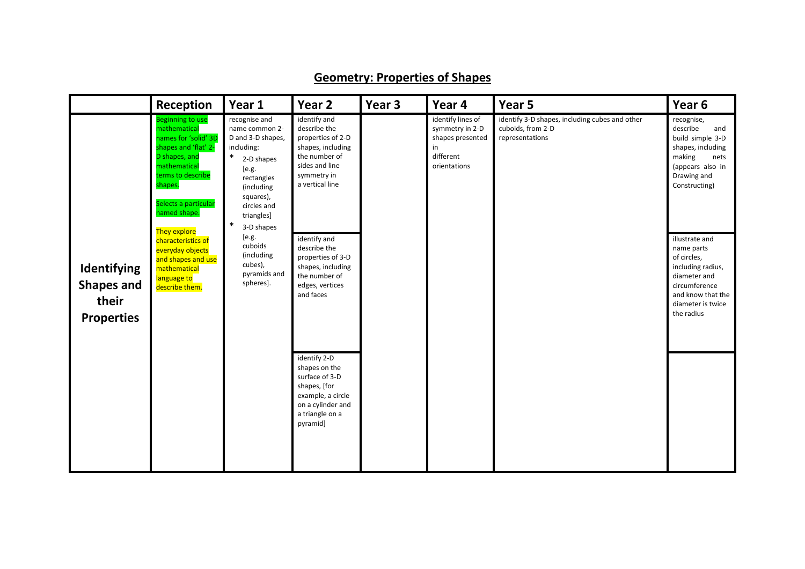|                                                                | Reception                                                                                                                                                                                        | Year 1                                                                                                                                                                                            | Year 2                                                                                                                                      | Year 3 | Year 4                                                                                      | Year 5                                                                                 | Year 6                                                                                                                                                    |
|----------------------------------------------------------------|--------------------------------------------------------------------------------------------------------------------------------------------------------------------------------------------------|---------------------------------------------------------------------------------------------------------------------------------------------------------------------------------------------------|---------------------------------------------------------------------------------------------------------------------------------------------|--------|---------------------------------------------------------------------------------------------|----------------------------------------------------------------------------------------|-----------------------------------------------------------------------------------------------------------------------------------------------------------|
|                                                                | <b>Beginning to use</b><br>mathematical<br>names for 'solid' 3D<br>shapes and 'flat' 2-<br>D shapes, and<br>mathematical<br>terms to describe<br>shapes.<br>Selects a particular<br>named shape. | recognise and<br>name common 2-<br>D and 3-D shapes,<br>including:<br>$\ast$<br>2-D shapes<br>[e.g.<br>rectangles<br>(including<br>squares),<br>circles and<br>triangles]<br>$\ast$<br>3-D shapes | identify and<br>describe the<br>properties of 2-D<br>shapes, including<br>the number of<br>sides and line<br>symmetry in<br>a vertical line |        | identify lines of<br>symmetry in 2-D<br>shapes presented<br>in<br>different<br>orientations | identify 3-D shapes, including cubes and other<br>cuboids, from 2-D<br>representations | recognise,<br>describe<br>and<br>build simple 3-D<br>shapes, including<br>making<br>nets<br>(appears also in<br>Drawing and<br>Constructing)              |
| Identifying<br><b>Shapes and</b><br>their<br><b>Properties</b> | They explore<br>characteristics of<br>everyday objects<br>and shapes and use<br>mathematical<br>language to<br>describe them.                                                                    | [e.g.<br>cuboids<br>(including<br>cubes),<br>pyramids and<br>spheres].                                                                                                                            | identify and<br>describe the<br>properties of 3-D<br>shapes, including<br>the number of<br>edges, vertices<br>and faces                     |        |                                                                                             |                                                                                        | illustrate and<br>name parts<br>of circles,<br>including radius,<br>diameter and<br>circumference<br>and know that the<br>diameter is twice<br>the radius |
|                                                                |                                                                                                                                                                                                  |                                                                                                                                                                                                   | identify 2-D<br>shapes on the<br>surface of 3-D<br>shapes, [for<br>example, a circle<br>on a cylinder and<br>a triangle on a<br>pyramid]    |        |                                                                                             |                                                                                        |                                                                                                                                                           |

# **Geometry: Properties of Shapes**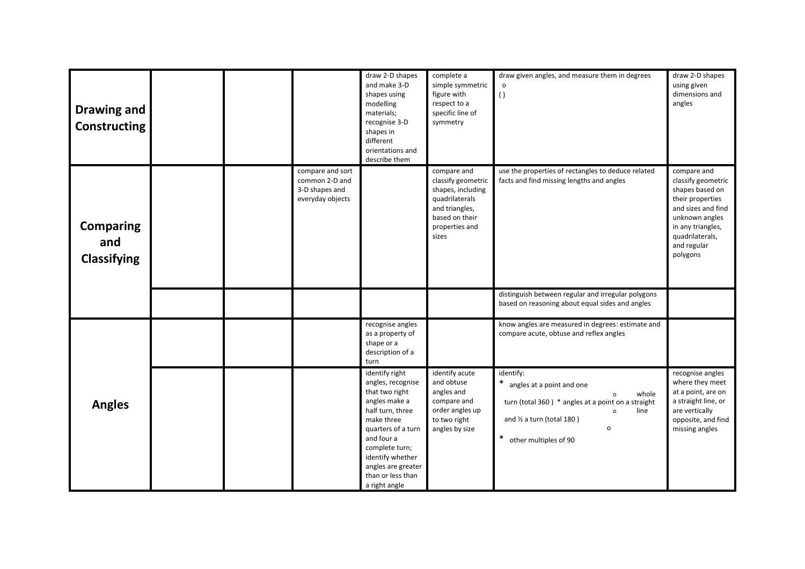| Drawing and<br><b>Constructing</b>            |  |                                                                          | draw 2-D shapes<br>and make 3-D<br>shapes using<br>modelling<br>materials;<br>recognise 3-D<br>shapes in<br>different<br>orientations and<br>describe them                                                                                     | complete a<br>simple symmetric<br>figure with<br>respect to a<br>specific line of<br>symmetry                                           | draw given angles, and measure them in degrees<br>$\left( \ \right)$                                                                                                                                                                         | draw 2-D shapes<br>using given<br>dimensions and<br>angles                                                                                                                          |
|-----------------------------------------------|--|--------------------------------------------------------------------------|------------------------------------------------------------------------------------------------------------------------------------------------------------------------------------------------------------------------------------------------|-----------------------------------------------------------------------------------------------------------------------------------------|----------------------------------------------------------------------------------------------------------------------------------------------------------------------------------------------------------------------------------------------|-------------------------------------------------------------------------------------------------------------------------------------------------------------------------------------|
| <b>Comparing</b><br>and<br><b>Classifying</b> |  | compare and sort<br>common 2-D and<br>3-D shapes and<br>everyday objects |                                                                                                                                                                                                                                                | compare and<br>classify geometric<br>shapes, including<br>quadrilaterals<br>and triangles,<br>based on their<br>properties and<br>sizes | use the properties of rectangles to deduce related<br>facts and find missing lengths and angles                                                                                                                                              | compare and<br>classify geometric<br>shapes based on<br>their properties<br>and sizes and find<br>unknown angles<br>in any triangles,<br>quadrilaterals,<br>and regular<br>polygons |
|                                               |  |                                                                          |                                                                                                                                                                                                                                                |                                                                                                                                         | distinguish between regular and irregular polygons<br>based on reasoning about equal sides and angles                                                                                                                                        |                                                                                                                                                                                     |
|                                               |  |                                                                          | recognise angles<br>as a property of<br>shape or a<br>description of a<br>turn                                                                                                                                                                 |                                                                                                                                         | know angles are measured in degrees: estimate and<br>compare acute, obtuse and reflex angles                                                                                                                                                 |                                                                                                                                                                                     |
| <b>Angles</b>                                 |  |                                                                          | identify right<br>angles, recognise<br>that two right<br>angles make a<br>half turn, three<br>make three<br>quarters of a turn<br>and four a<br>complete turn;<br>identify whether<br>angles are greater<br>than or less than<br>a right angle | identify acute<br>and obtuse<br>angles and<br>compare and<br>order angles up<br>to two right<br>angles by size                          | identify:<br>angles at a point and one<br>whole<br>$\mathsf{o}\,$<br>turn (total 360) * angles at a point on a straight<br>line<br>$\mathsf{o}\,$<br>and $\frac{1}{2}$ a turn (total 180)<br>$\mathsf{o}$<br>$\ast$<br>other multiples of 90 | recognise angles<br>where they meet<br>at a point, are on<br>a straight line, or<br>are vertically<br>opposite, and find<br>missing angles                                          |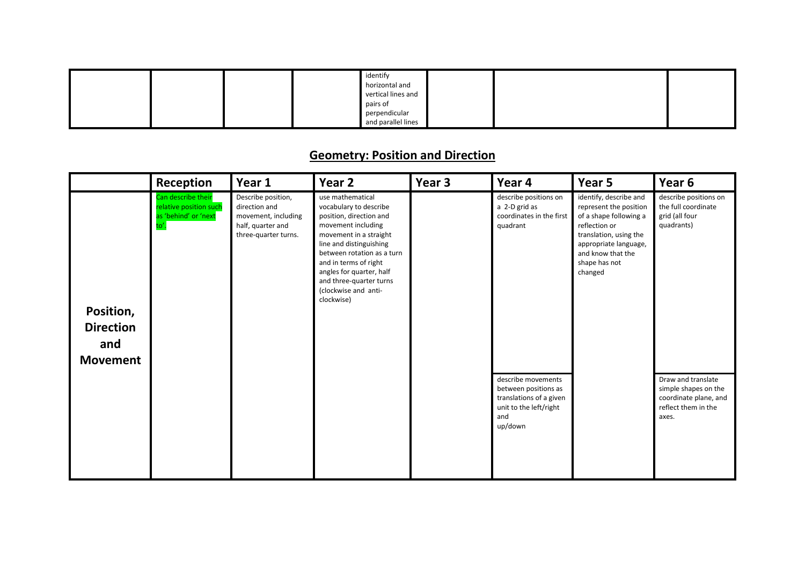|  |  | identify           |  |  |
|--|--|--------------------|--|--|
|  |  | horizontal and     |  |  |
|  |  | vertical lines and |  |  |
|  |  | pairs of           |  |  |
|  |  | perpendicular      |  |  |
|  |  | and parallel lines |  |  |

### **Geometry: Position and Direction**

|                                                         | Reception                                                                    | Year 1                                                                                                  | Year 2                                                                                                                                                                                                                                                                                               | Year 3 | Year 4                                                                                                            | Year 5                                                                                                                                                                                          | Year 6                                                                                              |
|---------------------------------------------------------|------------------------------------------------------------------------------|---------------------------------------------------------------------------------------------------------|------------------------------------------------------------------------------------------------------------------------------------------------------------------------------------------------------------------------------------------------------------------------------------------------------|--------|-------------------------------------------------------------------------------------------------------------------|-------------------------------------------------------------------------------------------------------------------------------------------------------------------------------------------------|-----------------------------------------------------------------------------------------------------|
| Position,<br><b>Direction</b><br>and<br><b>Movement</b> | Can describe their<br>relative position such<br>as 'behind' or 'next<br>to'. | Describe position,<br>direction and<br>movement, including<br>half, quarter and<br>three-quarter turns. | use mathematical<br>vocabulary to describe<br>position, direction and<br>movement including<br>movement in a straight<br>line and distinguishing<br>between rotation as a turn<br>and in terms of right<br>angles for quarter, half<br>and three-quarter turns<br>(clockwise and anti-<br>clockwise) |        | describe positions on<br>a 2-D grid as<br>coordinates in the first<br>quadrant                                    | identify, describe and<br>represent the position<br>of a shape following a<br>reflection or<br>translation, using the<br>appropriate language,<br>and know that the<br>shape has not<br>changed | describe positions on<br>the full coordinate<br>grid (all four<br>quadrants)                        |
|                                                         |                                                                              |                                                                                                         |                                                                                                                                                                                                                                                                                                      |        | describe movements<br>between positions as<br>translations of a given<br>unit to the left/right<br>and<br>up/down |                                                                                                                                                                                                 | Draw and translate<br>simple shapes on the<br>coordinate plane, and<br>reflect them in the<br>axes. |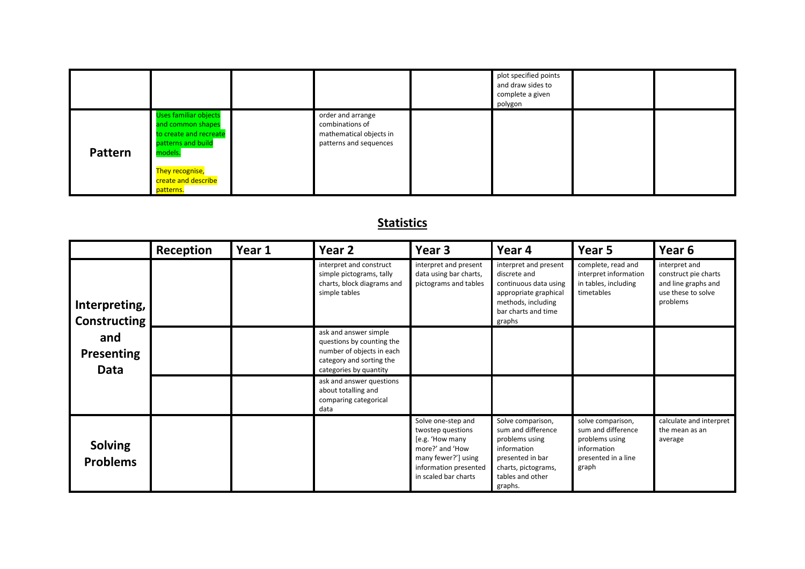|                |                                                                                                              |                                                                                           | plot specified points<br>and draw sides to<br>complete a given<br>polygon |  |
|----------------|--------------------------------------------------------------------------------------------------------------|-------------------------------------------------------------------------------------------|---------------------------------------------------------------------------|--|
| <b>Pattern</b> | <b>Uses familiar objects</b><br>and common shapes<br>to create and recreate<br>patterns and build<br>models. | order and arrange<br>combinations of<br>mathematical objects in<br>patterns and sequences |                                                                           |  |
|                | They recognise,<br>create and describe<br>patterns.                                                          |                                                                                           |                                                                           |  |

## **Statistics**

|                                      | Reception | Year 1 | Year <sub>2</sub>                                                                                                                     | Year <sub>3</sub>                                                                                                                                     | Year 4                                                                                                                                             | Year 5                                                                                                   | Year <sub>6</sub>                                                                              |
|--------------------------------------|-----------|--------|---------------------------------------------------------------------------------------------------------------------------------------|-------------------------------------------------------------------------------------------------------------------------------------------------------|----------------------------------------------------------------------------------------------------------------------------------------------------|----------------------------------------------------------------------------------------------------------|------------------------------------------------------------------------------------------------|
| Interpreting,<br><b>Constructing</b> |           |        | interpret and construct<br>simple pictograms, tally<br>charts, block diagrams and<br>simple tables                                    | interpret and present<br>data using bar charts,<br>pictograms and tables                                                                              | interpret and present<br>discrete and<br>continuous data using<br>appropriate graphical<br>methods, including<br>bar charts and time<br>graphs     | complete, read and<br>interpret information<br>in tables, including<br>timetables                        | interpret and<br>construct pie charts<br>and line graphs and<br>use these to solve<br>problems |
| and<br>Presenting<br><b>Data</b>     |           |        | ask and answer simple<br>questions by counting the<br>number of objects in each<br>category and sorting the<br>categories by quantity |                                                                                                                                                       |                                                                                                                                                    |                                                                                                          |                                                                                                |
|                                      |           |        | ask and answer questions<br>about totalling and<br>comparing categorical<br>data                                                      |                                                                                                                                                       |                                                                                                                                                    |                                                                                                          |                                                                                                |
| <b>Solving</b><br><b>Problems</b>    |           |        |                                                                                                                                       | Solve one-step and<br>twostep questions<br>[e.g. 'How many<br>more?' and 'How<br>many fewer?'] using<br>information presented<br>in scaled bar charts | Solve comparison,<br>sum and difference<br>problems using<br>information<br>presented in bar<br>charts, pictograms,<br>tables and other<br>graphs. | solve comparison,<br>sum and difference<br>problems using<br>information<br>presented in a line<br>graph | calculate and interpret<br>the mean as an<br>average                                           |